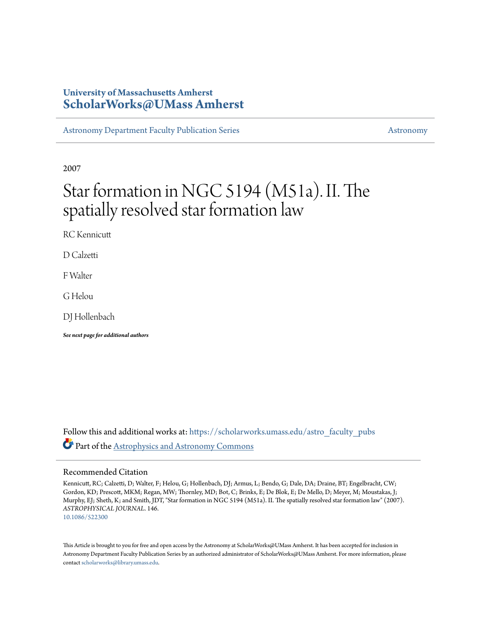# **University of Massachusetts Amherst [ScholarWorks@UMass Amherst](https://scholarworks.umass.edu?utm_source=scholarworks.umass.edu%2Fastro_faculty_pubs%2F146&utm_medium=PDF&utm_campaign=PDFCoverPages)**

[Astronomy Department Faculty Publication Series](https://scholarworks.umass.edu/astro_faculty_pubs?utm_source=scholarworks.umass.edu%2Fastro_faculty_pubs%2F146&utm_medium=PDF&utm_campaign=PDFCoverPages) [Astronomy](https://scholarworks.umass.edu/astro?utm_source=scholarworks.umass.edu%2Fastro_faculty_pubs%2F146&utm_medium=PDF&utm_campaign=PDFCoverPages)

2007

# Star formation in NGC 5194 (M51a). II. The spatially resolved star formation law

RC Kennicutt

D Calzetti

F Walter

G Helou

DJ Hollenbach

*See next page for additional authors*

Follow this and additional works at: [https://scholarworks.umass.edu/astro\\_faculty\\_pubs](https://scholarworks.umass.edu/astro_faculty_pubs?utm_source=scholarworks.umass.edu%2Fastro_faculty_pubs%2F146&utm_medium=PDF&utm_campaign=PDFCoverPages) Part of the [Astrophysics and Astronomy Commons](http://network.bepress.com/hgg/discipline/123?utm_source=scholarworks.umass.edu%2Fastro_faculty_pubs%2F146&utm_medium=PDF&utm_campaign=PDFCoverPages)

# Recommended Citation

Kennicutt, RC; Calzetti, D; Walter, F; Helou, G; Hollenbach, DJ; Armus, L; Bendo, G; Dale, DA; Draine, BT; Engelbracht, CW; Gordon, KD; Prescott, MKM; Regan, MW; Thornley, MD; Bot, C; Brinks, E; De Blok, E; De Mello, D; Meyer, M; Moustakas, J; Murphy, EJ; Sheth, K; and Smith, JDT, "Star formation in NGC 5194 (M51a). II. The spatially resolved star formation law" (2007). *ASTROPHYSICAL JOURNAL*. 146. <10.1086/522300>

This Article is brought to you for free and open access by the Astronomy at ScholarWorks@UMass Amherst. It has been accepted for inclusion in Astronomy Department Faculty Publication Series by an authorized administrator of ScholarWorks@UMass Amherst. For more information, please contact [scholarworks@library.umass.edu](mailto:scholarworks@library.umass.edu).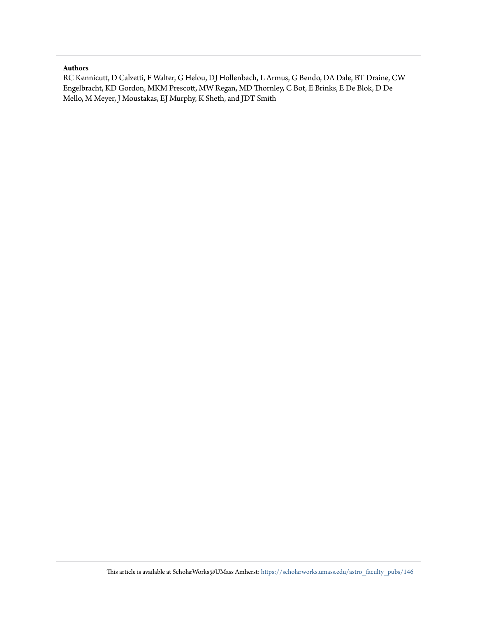#### **Authors**

RC Kennicutt, D Calzetti, F Walter, G Helou, DJ Hollenbach, L Armus, G Bendo, DA Dale, BT Draine, CW Engelbracht, KD Gordon, MKM Prescott, MW Regan, MD Thornley, C Bot, E Brinks, E De Blok, D De Mello, M Meyer, J Moustakas, EJ Murphy, K Sheth, and JDT Smith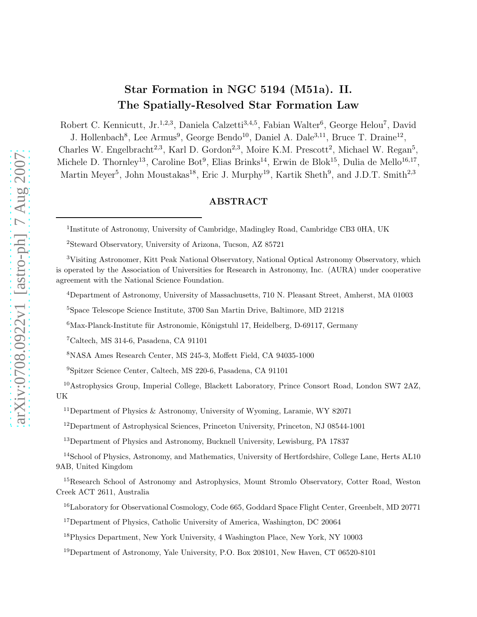# Star Formation in NGC 5194 (M51a). II. The Spatially-Resolved Star Formation Law

Robert C. Kennicutt, Jr.<sup>1,2,3</sup>, Daniela Calzetti<sup>3,4,5</sup>, Fabian Walter<sup>6</sup>, George Helou<sup>7</sup>, David

J. Hollenbach<sup>8</sup>, Lee Armus<sup>9</sup>, George Bendo<sup>10</sup>, Daniel A. Dale<sup>3,11</sup>, Bruce T. Draine<sup>12</sup>,

Charles W. Engelbracht<sup>2,3</sup>, Karl D. Gordon<sup>2,3</sup>, Moire K.M. Prescott<sup>2</sup>, Michael W. Regan<sup>5</sup>, Michele D. Thornley<sup>13</sup>, Caroline Bot<sup>9</sup>, Elias Brinks<sup>14</sup>, Erwin de Blok<sup>15</sup>, Dulia de Mello<sup>16,17</sup>, Martin Meyer<sup>5</sup>, John Moustakas<sup>18</sup>, Eric J. Murphy<sup>19</sup>, Kartik Sheth<sup>9</sup>, and J.D.T. Smith<sup>2,3</sup>

# ABSTRACT

<sup>1</sup>Institute of Astronomy, University of Cambridge, Madingley Road, Cambridge CB3 0HA, UK

<sup>2</sup>Steward Observatory, University of Arizona, Tucson, AZ 85721

<sup>3</sup>Visiting Astronomer, Kitt Peak National Observatory, National Optical Astronomy Observatory, which is operated by the Association of Universities for Research in Astronomy, Inc. (AURA) under cooperative agreement with the National Science Foundation.

<sup>4</sup>Department of Astronomy, University of Massachusetts, 710 N. Pleasant Street, Amherst, MA 01003

<sup>5</sup>Space Telescope Science Institute, 3700 San Martin Drive, Baltimore, MD 21218

 $6$ Max-Planck-Institute für Astronomie, Königstuhl 17, Heidelberg, D-69117, Germany

<sup>8</sup>NASA Ames Research Center, MS 245-3, Moffett Field, CA 94035-1000

<sup>9</sup>Spitzer Science Center, Caltech, MS 220-6, Pasadena, CA 91101

<sup>10</sup>Astrophysics Group, Imperial College, Blackett Laboratory, Prince Consort Road, London SW7 2AZ, UK

<sup>11</sup>Department of Physics & Astronomy, University of Wyoming, Laramie, WY 82071

<sup>12</sup>Department of Astrophysical Sciences, Princeton University, Princeton, NJ 08544-1001

<sup>13</sup>Department of Physics and Astronomy, Bucknell University, Lewisburg, PA 17837

<sup>14</sup>School of Physics, Astronomy, and Mathematics, University of Hertfordshire, College Lane, Herts AL10 9AB, United Kingdom

<sup>15</sup>Research School of Astronomy and Astrophysics, Mount Stromlo Observatory, Cotter Road, Weston Creek ACT 2611, Australia

<sup>16</sup>Laboratory for Observational Cosmology, Code 665, Goddard Space Flight Center, Greenbelt, MD 20771

<sup>7</sup>Caltech, MS 314-6, Pasadena, CA 91101

<sup>17</sup>Department of Physics, Catholic University of America, Washington, DC 20064

<sup>18</sup>Physics Department, New York University, 4 Washington Place, New York, NY 10003

<sup>&</sup>lt;sup>19</sup>Department of Astronomy, Yale University, P.O. Box 208101, New Haven, CT 06520-8101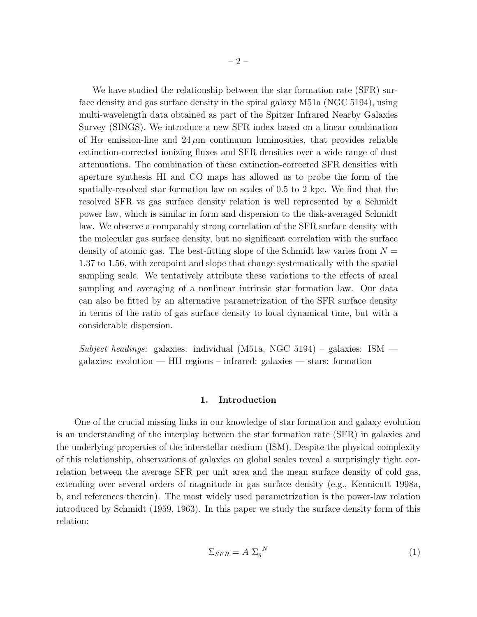We have studied the relationship between the star formation rate (SFR) surface density and gas surface density in the spiral galaxy M51a (NGC 5194), using multi-wavelength data obtained as part of the Spitzer Infrared Nearby Galaxies Survey (SINGS). We introduce a new SFR index based on a linear combination of H $\alpha$  emission-line and  $24 \mu$ m continuum luminosities, that provides reliable extinction-corrected ionizing fluxes and SFR densities over a wide range of dust attenuations. The combination of these extinction-corrected SFR densities with aperture synthesis HI and CO maps has allowed us to probe the form of the spatially-resolved star formation law on scales of 0.5 to 2 kpc. We find that the resolved SFR vs gas surface density relation is well represented by a Schmidt power law, which is similar in form and dispersion to the disk-averaged Schmidt law. We observe a comparably strong correlation of the SFR surface density with the molecular gas surface density, but no significant correlation with the surface density of atomic gas. The best-fitting slope of the Schmidt law varies from  $N =$ 1.37 to 1.56, with zeropoint and slope that change systematically with the spatial sampling scale. We tentatively attribute these variations to the effects of areal sampling and averaging of a nonlinear intrinsic star formation law. Our data can also be fitted by an alternative parametrization of the SFR surface density in terms of the ratio of gas surface density to local dynamical time, but with a considerable dispersion.

Subject headings: galaxies: individual (M51a, NGC 5194) – galaxies: ISM galaxies: evolution — HII regions – infrared: galaxies — stars: formation

# 1. Introduction

One of the crucial missing links in our knowledge of star formation and galaxy evolution is an understanding of the interplay between the star formation rate (SFR) in galaxies and the underlying properties of the interstellar medium (ISM). Despite the physical complexity of this relationship, observations of galaxies on global scales reveal a surprisingly tight correlation between the average SFR per unit area and the mean surface density of cold gas, extending over several orders of magnitude in gas surface density (e.g., Kennicutt 1998a, b, and references therein). The most widely used parametrization is the power-law relation introduced by Schmidt (1959, 1963). In this paper we study the surface density form of this relation:

$$
\Sigma_{SFR} = A \ \Sigma_g^N \tag{1}
$$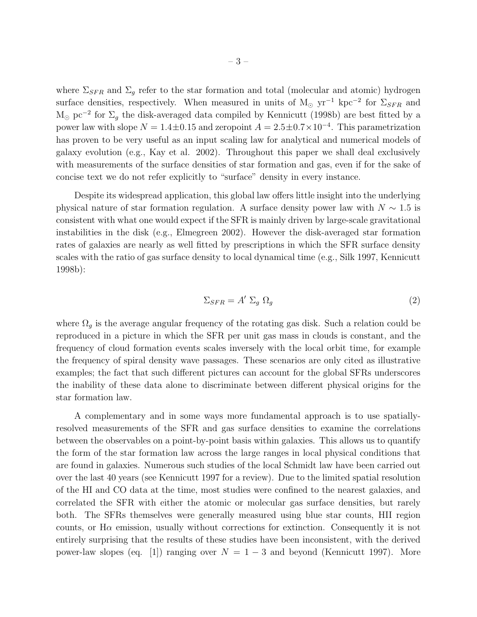where  $\Sigma_{SFR}$  and  $\Sigma_q$  refer to the star formation and total (molecular and atomic) hydrogen surface densities, respectively. When measured in units of  $M_{\odot}$  yr<sup>-1</sup> kpc<sup>-2</sup> for  $\Sigma_{SFR}$  and M<sub>☉</sub> pc<sup>-2</sup> for  $\Sigma_g$  the disk-averaged data compiled by Kennicutt (1998b) are best fitted by a power law with slope  $N = 1.4 \pm 0.15$  and zeropoint  $A = 2.5 \pm 0.7 \times 10^{-4}$ . This parametrization has proven to be very useful as an input scaling law for analytical and numerical models of galaxy evolution (e.g., Kay et al. 2002). Throughout this paper we shall deal exclusively with measurements of the surface densities of star formation and gas, even if for the sake of concise text we do not refer explicitly to "surface" density in every instance.

Despite its widespread application, this global law offers little insight into the underlying physical nature of star formation regulation. A surface density power law with  $N \sim 1.5$  is consistent with what one would expect if the SFR is mainly driven by large-scale gravitational instabilities in the disk (e.g., Elmegreen 2002). However the disk-averaged star formation rates of galaxies are nearly as well fitted by prescriptions in which the SFR surface density scales with the ratio of gas surface density to local dynamical time (e.g., Silk 1997, Kennicutt 1998b):

$$
\Sigma_{SFR} = A' \Sigma_g \Omega_g \tag{2}
$$

where  $\Omega_q$  is the average angular frequency of the rotating gas disk. Such a relation could be reproduced in a picture in which the SFR per unit gas mass in clouds is constant, and the frequency of cloud formation events scales inversely with the local orbit time, for example the frequency of spiral density wave passages. These scenarios are only cited as illustrative examples; the fact that such different pictures can account for the global SFRs underscores the inability of these data alone to discriminate between different physical origins for the star formation law.

A complementary and in some ways more fundamental approach is to use spatiallyresolved measurements of the SFR and gas surface densities to examine the correlations between the observables on a point-by-point basis within galaxies. This allows us to quantify the form of the star formation law across the large ranges in local physical conditions that are found in galaxies. Numerous such studies of the local Schmidt law have been carried out over the last 40 years (see Kennicutt 1997 for a review). Due to the limited spatial resolution of the HI and CO data at the time, most studies were confined to the nearest galaxies, and correlated the SFR with either the atomic or molecular gas surface densities, but rarely both. The SFRs themselves were generally measured using blue star counts, HII region counts, or Hα emission, usually without corrections for extinction. Consequently it is not entirely surprising that the results of these studies have been inconsistent, with the derived power-law slopes (eq. [1]) ranging over  $N = 1 - 3$  and beyond (Kennicutt 1997). More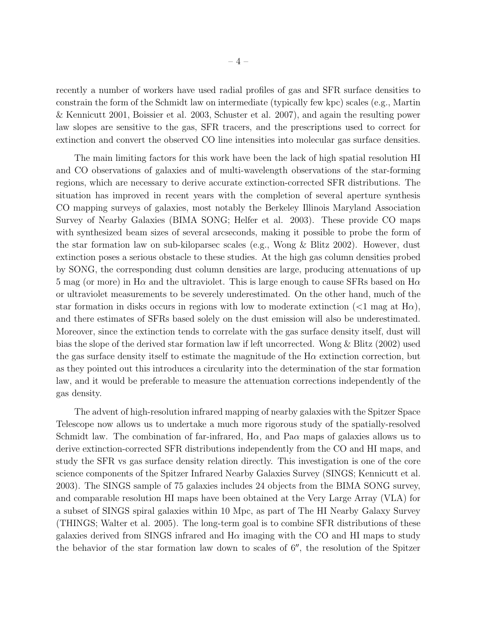recently a number of workers have used radial profiles of gas and SFR surface densities to constrain the form of the Schmidt law on intermediate (typically few kpc) scales (e.g., Martin & Kennicutt 2001, Boissier et al. 2003, Schuster et al. 2007), and again the resulting power law slopes are sensitive to the gas, SFR tracers, and the prescriptions used to correct for extinction and convert the observed CO line intensities into molecular gas surface densities.

The main limiting factors for this work have been the lack of high spatial resolution HI and CO observations of galaxies and of multi-wavelength observations of the star-forming regions, which are necessary to derive accurate extinction-corrected SFR distributions. The situation has improved in recent years with the completion of several aperture synthesis CO mapping surveys of galaxies, most notably the Berkeley Illinois Maryland Association Survey of Nearby Galaxies (BIMA SONG; Helfer et al. 2003). These provide CO maps with synthesized beam sizes of several arcseconds, making it possible to probe the form of the star formation law on sub-kiloparsec scales (e.g., Wong & Blitz 2002). However, dust extinction poses a serious obstacle to these studies. At the high gas column densities probed by SONG, the corresponding dust column densities are large, producing attenuations of up 5 mag (or more) in H $\alpha$  and the ultraviolet. This is large enough to cause SFRs based on H $\alpha$ or ultraviolet measurements to be severely underestimated. On the other hand, much of the star formation in disks occurs in regions with low to moderate extinction  $\left($  <1 mag at H $\alpha$ ), and there estimates of SFRs based solely on the dust emission will also be underestimated. Moreover, since the extinction tends to correlate with the gas surface density itself, dust will bias the slope of the derived star formation law if left uncorrected. Wong & Blitz (2002) used the gas surface density itself to estimate the magnitude of the  $H\alpha$  extinction correction, but as they pointed out this introduces a circularity into the determination of the star formation law, and it would be preferable to measure the attenuation corrections independently of the gas density.

The advent of high-resolution infrared mapping of nearby galaxies with the Spitzer Space Telescope now allows us to undertake a much more rigorous study of the spatially-resolved Schmidt law. The combination of far-infrared,  $H\alpha$ , and Pa $\alpha$  maps of galaxies allows us to derive extinction-corrected SFR distributions independently from the CO and HI maps, and study the SFR vs gas surface density relation directly. This investigation is one of the core science components of the Spitzer Infrared Nearby Galaxies Survey (SINGS; Kennicutt et al. 2003). The SINGS sample of 75 galaxies includes 24 objects from the BIMA SONG survey, and comparable resolution HI maps have been obtained at the Very Large Array (VLA) for a subset of SINGS spiral galaxies within 10 Mpc, as part of The HI Nearby Galaxy Survey (THINGS; Walter et al. 2005). The long-term goal is to combine SFR distributions of these galaxies derived from SINGS infrared and  $H\alpha$  imaging with the CO and HI maps to study the behavior of the star formation law down to scales of 6′′, the resolution of the Spitzer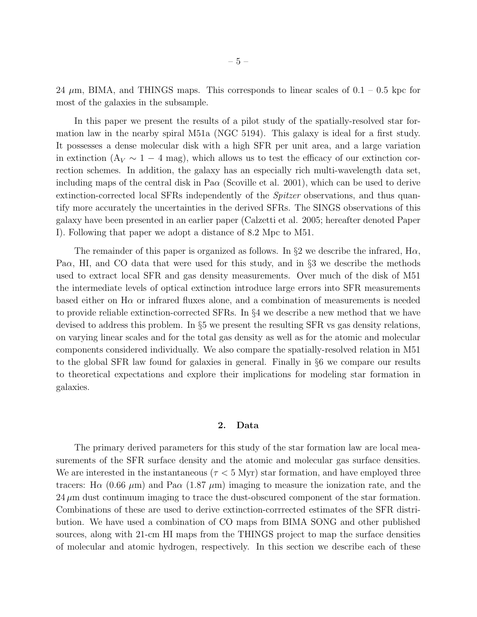24  $\mu$ m, BIMA, and THINGS maps. This corresponds to linear scales of 0.1 – 0.5 kpc for most of the galaxies in the subsample.

In this paper we present the results of a pilot study of the spatially-resolved star formation law in the nearby spiral M51a (NGC 5194). This galaxy is ideal for a first study. It possesses a dense molecular disk with a high SFR per unit area, and a large variation in extinction ( $A_V \sim 1 - 4$  mag), which allows us to test the efficacy of our extinction correction schemes. In addition, the galaxy has an especially rich multi-wavelength data set, including maps of the central disk in Pa $\alpha$  (Scoville et al. 2001), which can be used to derive extinction-corrected local SFRs independently of the Spitzer observations, and thus quantify more accurately the uncertainties in the derived SFRs. The SINGS observations of this galaxy have been presented in an earlier paper (Calzetti et al. 2005; hereafter denoted Paper I). Following that paper we adopt a distance of 8.2 Mpc to M51.

The remainder of this paper is organized as follows. In  $\S 2$  we describe the infrared, H $\alpha$ , Paα, HI, and CO data that were used for this study, and in §3 we describe the methods used to extract local SFR and gas density measurements. Over much of the disk of M51 the intermediate levels of optical extinction introduce large errors into SFR measurements based either on  $H\alpha$  or infrared fluxes alone, and a combination of measurements is needed to provide reliable extinction-corrected SFRs. In §4 we describe a new method that we have devised to address this problem. In §5 we present the resulting SFR vs gas density relations, on varying linear scales and for the total gas density as well as for the atomic and molecular components considered individually. We also compare the spatially-resolved relation in M51 to the global SFR law found for galaxies in general. Finally in §6 we compare our results to theoretical expectations and explore their implications for modeling star formation in galaxies.

#### 2. Data

The primary derived parameters for this study of the star formation law are local measurements of the SFR surface density and the atomic and molecular gas surface densities. We are interested in the instantaneous ( $\tau < 5$  Myr) star formation, and have employed three tracers: H $\alpha$  (0.66  $\mu$ m) and Pa $\alpha$  (1.87  $\mu$ m) imaging to measure the ionization rate, and the  $24 \mu m$  dust continuum imaging to trace the dust-obscured component of the star formation. Combinations of these are used to derive extinction-corrrected estimates of the SFR distribution. We have used a combination of CO maps from BIMA SONG and other published sources, along with 21-cm HI maps from the THINGS project to map the surface densities of molecular and atomic hydrogen, respectively. In this section we describe each of these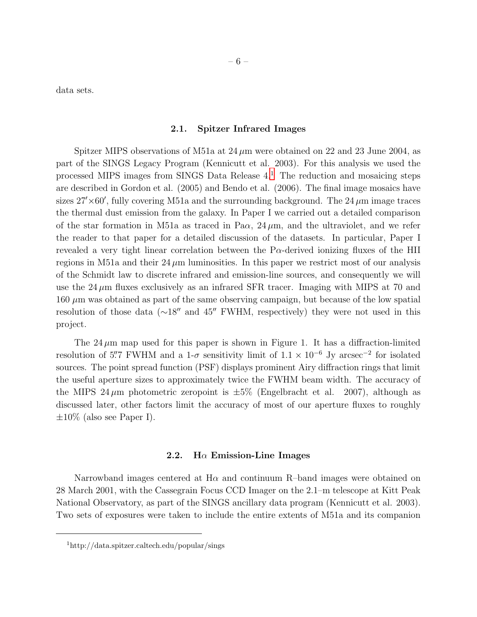data sets.

# 2.1. Spitzer Infrared Images

Spitzer MIPS observations of M51a at  $24 \,\mu$ m were obtained on 22 and 23 June 2004, as part of the SINGS Legacy Program (Kennicutt et al. 2003). For this analysis we used the processed MIPS images from SINGS Data Release 4.[1](#page-7-0) The reduction and mosaicing steps are described in Gordon et al. (2005) and Bendo et al. (2006). The final image mosaics have sizes  $27' \times 60'$ , fully covering M51a and the surrounding background. The  $24 \,\mu$ m image traces the thermal dust emission from the galaxy. In Paper I we carried out a detailed comparison of the star formation in M51a as traced in Pa $\alpha$ , 24  $\mu$ m, and the ultraviolet, and we refer the reader to that paper for a detailed discussion of the datasets. In particular, Paper I revealed a very tight linear correlation between the  $P\alpha$ -derived ionizing fluxes of the HII regions in M51a and their  $24 \mu m$  luminosities. In this paper we restrict most of our analysis of the Schmidt law to discrete infrared and emission-line sources, and consequently we will use the  $24 \mu m$  fluxes exclusively as an infrared SFR tracer. Imaging with MIPS at 70 and  $160 \mu m$  was obtained as part of the same observing campaign, but because of the low spatial resolution of those data (∼18′′ and 45′′ FWHM, respectively) they were not used in this project.

The  $24 \mu m$  map used for this paper is shown in Figure 1. It has a diffraction-limited resolution of 5".7 FWHM and a 1- $\sigma$  sensitivity limit of  $1.1 \times 10^{-6}$  Jy arcsec<sup>-2</sup> for isolated sources. The point spread function (PSF) displays prominent Airy diffraction rings that limit the useful aperture sizes to approximately twice the FWHM beam width. The accuracy of the MIPS 24  $\mu$ m photometric zeropoint is  $\pm 5\%$  (Engelbracht et al. 2007), although as discussed later, other factors limit the accuracy of most of our aperture fluxes to roughly  $\pm 10\%$  (also see Paper I).

#### 2.2.  $H\alpha$  Emission-Line Images

Narrowband images centered at  $H\alpha$  and continuum R-band images were obtained on 28 March 2001, with the Cassegrain Focus CCD Imager on the 2.1–m telescope at Kitt Peak National Observatory, as part of the SINGS ancillary data program (Kennicutt et al. 2003). Two sets of exposures were taken to include the entire extents of M51a and its companion

<span id="page-7-0"></span><sup>1</sup>http://data.spitzer.caltech.edu/popular/sings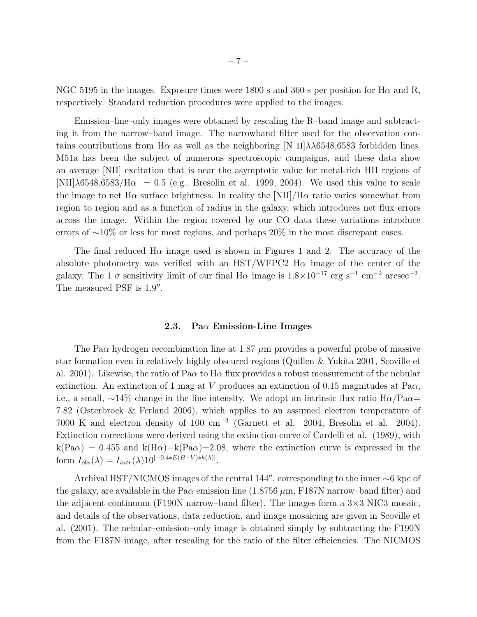NGC 5195 in the images. Exposure times were 1800 s and 360 s per position for H $\alpha$  and R, respectively. Standard reduction procedures were applied to the images.

Emission–line–only images were obtained by rescaling the R–band image and subtracting it from the narrow–band image. The narrowband filter used for the observation contains contributions from H $\alpha$  as well as the neighboring [N II] $\lambda\lambda$ 6548,6583 forbidden lines. M51a has been the subject of numerous spectroscopic campaigns, and these data show an average [NII] excitation that is near the asymptotic value for metal-rich HII regions of [NII] $\lambda$ 6548,6583/H $\alpha$  = 0.5 (e.g., Bresolin et al. 1999, 2004). We used this value to scale the image to net H $\alpha$  surface brightness. In reality the [NII]/H $\alpha$  ratio varies somewhat from region to region and as a function of radius in the galaxy, which introduces net flux errors across the image. Within the region covered by our CO data these variations introduce errors of ∼10% or less for most regions, and perhaps 20% in the most discrepant cases.

The final reduced  $H\alpha$  image used is shown in Figures 1 and 2. The accuracy of the absolute photometry was verified with an HST/WFPC2 H $\alpha$  image of the center of the galaxy. The 1  $\sigma$  sensitivity limit of our final H $\alpha$  image is  $1.8 \times 10^{-17}$  erg s<sup>-1</sup> cm<sup>-2</sup> arcsec<sup>-2</sup>. The measured PSF is  $1.9''$ .

#### 2.3. Pa $\alpha$  Emission-Line Images

The Pa $\alpha$  hydrogen recombination line at 1.87  $\mu$ m provides a powerful probe of massive star formation even in relatively highly obscured regions (Quillen & Yukita 2001, Scoville et al. 2001). Likewise, the ratio of Pa $\alpha$  to H $\alpha$  flux provides a robust measurement of the nebular extinction. An extinction of 1 mag at V produces an extinction of 0.15 magnitudes at Pa $\alpha$ , i.e., a small,  $\sim$ 14% change in the line intensity. We adopt an intrinsic flux ratio H $\alpha$ /Pa $\alpha$ = 7.82 (Osterbrock & Ferland 2006), which applies to an assumed electron temperature of 7000 K and electron density of 100 cm<sup>−</sup><sup>3</sup> (Garnett et al. 2004, Bresolin et al. 2004). Extinction corrections were derived using the extinction curve of Cardelli et al. (1989), with  $k(Pa\alpha) = 0.455$  and  $k(H\alpha) - k(Pa\alpha) = 2.08$ , where the extinction curve is expressed in the form  $I_{obs}(\lambda) = I_{intr}(\lambda) 10^{[-0.4*E(B-V)*k(\lambda)]}.$ 

Archival HST/NICMOS images of the central 144′′, corresponding to the inner ∼6 kpc of the galaxy, are available in the Pa $\alpha$  emission line (1.8756  $\mu$ m, F187N narrow–band filter) and the adjacent continuum (F190N narrow–band filter). The images form a 3×3 NIC3 mosaic, and details of the observations, data reduction, and image mosaicing are given in Scoville et al. (2001). The nebular–emission–only image is obtained simply by subtracting the F190N from the F187N image, after rescaling for the ratio of the filter efficiencies. The NICMOS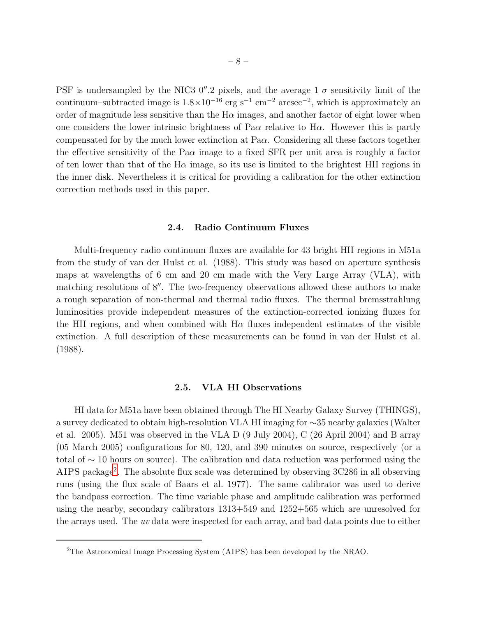PSF is undersampled by the NIC3 0''.2 pixels, and the average  $1 \sigma$  sensitivity limit of the continuum–subtracted image is  $1.8 \times 10^{-16}$  erg s<sup>-1</sup> cm<sup>-2</sup> arcsec<sup>-2</sup>, which is approximately an order of magnitude less sensitive than the  $H\alpha$  images, and another factor of eight lower when one considers the lower intrinsic brightness of Pa $\alpha$  relative to H $\alpha$ . However this is partly compensated for by the much lower extinction at Pa $\alpha$ . Considering all these factors together the effective sensitivity of the Pa $\alpha$  image to a fixed SFR per unit area is roughly a factor of ten lower than that of the  $Ha$  image, so its use is limited to the brightest HII regions in the inner disk. Nevertheless it is critical for providing a calibration for the other extinction correction methods used in this paper.

#### 2.4. Radio Continuum Fluxes

Multi-frequency radio continuum fluxes are available for 43 bright HII regions in M51a from the study of van der Hulst et al. (1988). This study was based on aperture synthesis maps at wavelengths of 6 cm and 20 cm made with the Very Large Array (VLA), with matching resolutions of 8′′. The two-frequency observations allowed these authors to make a rough separation of non-thermal and thermal radio fluxes. The thermal bremsstrahlung luminosities provide independent measures of the extinction-corrected ionizing fluxes for the HII regions, and when combined with  $H\alpha$  fluxes independent estimates of the visible extinction. A full description of these measurements can be found in van der Hulst et al. (1988).

#### 2.5. VLA HI Observations

HI data for M51a have been obtained through The HI Nearby Galaxy Survey (THINGS), a survey dedicated to obtain high-resolution VLA HI imaging for ∼35 nearby galaxies (Walter et al. 2005). M51 was observed in the VLA D (9 July 2004), C (26 April 2004) and B array (05 March 2005) configurations for 80, 120, and 390 minutes on source, respectively (or a total of ∼ 10 hours on source). The calibration and data reduction was performed using the AIPS package<sup>[2](#page-9-0)</sup>. The absolute flux scale was determined by observing 3C286 in all observing runs (using the flux scale of Baars et al. 1977). The same calibrator was used to derive the bandpass correction. The time variable phase and amplitude calibration was performed using the nearby, secondary calibrators 1313+549 and 1252+565 which are unresolved for the arrays used. The uv data were inspected for each array, and bad data points due to either

<span id="page-9-0"></span><sup>2</sup>The Astronomical Image Processing System (AIPS) has been developed by the NRAO.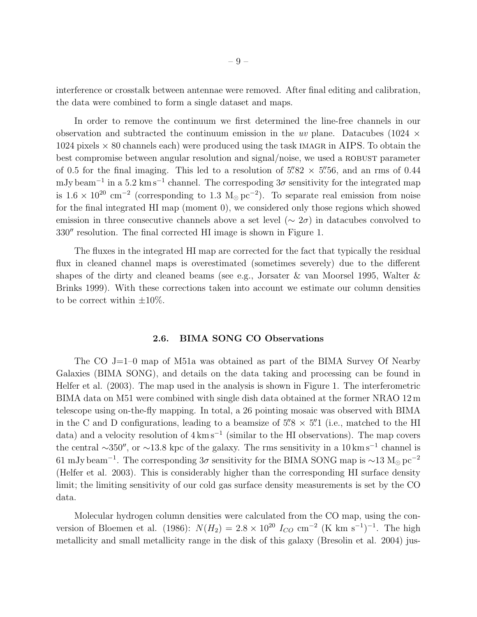interference or crosstalk between antennae were removed. After final editing and calibration, the data were combined to form a single dataset and maps.

In order to remove the continuum we first determined the line-free channels in our observation and subtracted the continuum emission in the uv plane. Datacubes (1024  $\times$  $1024$  pixels  $\times$  80 channels each) were produced using the task IMAGR in AIPS. To obtain the best compromise between angular resolution and signal/noise, we used a ROBUST parameter of 0.5 for the final imaging. This led to a resolution of  $5\overset{''}{.}82 \times 5\overset{''}{.}56$ , and an rms of 0.44 mJy beam<sup>-1</sup> in a 5.2 km s<sup>-1</sup> channel. The correspoding  $3\sigma$  sensitivity for the integrated map is  $1.6 \times 10^{20}$  cm<sup>-2</sup> (corresponding to 1.3 M<sub>☉</sub> pc<sup>-2</sup>). To separate real emission from noise for the final integrated HI map (moment 0), we considered only those regions which showed emission in three consecutive channels above a set level ( $\sim 2\sigma$ ) in datacubes convolved to 330′′ resolution. The final corrected HI image is shown in Figure 1.

The fluxes in the integrated HI map are corrected for the fact that typically the residual flux in cleaned channel maps is overestimated (sometimes severely) due to the different shapes of the dirty and cleaned beams (see e.g., Jorsater & van Moorsel 1995, Walter & Brinks 1999). With these corrections taken into account we estimate our column densities to be correct within  $\pm 10\%$ .

#### 2.6. BIMA SONG CO Observations

The CO J=1–0 map of M51a was obtained as part of the BIMA Survey Of Nearby Galaxies (BIMA SONG), and details on the data taking and processing can be found in Helfer et al. (2003). The map used in the analysis is shown in Figure 1. The interferometric BIMA data on M51 were combined with single dish data obtained at the former NRAO 12 m telescope using on-the-fly mapping. In total, a 26 pointing mosaic was observed with BIMA in the C and D configurations, leading to a beamsize of  $5\% \times 5\%$  (i.e., matched to the HI data) and a velocity resolution of  $4 \text{ km s}^{-1}$  (similar to the HI observations). The map covers the central  $\sim$ 350″, or  $\sim$ 13.8 kpc of the galaxy. The rms sensitivity in a 10 km s<sup>-1</sup> channel is 61 mJy beam<sup>-1</sup>. The corresponding 3 $\sigma$  sensitivity for the BIMA SONG map is ~13 M<sub>☉</sub> pc<sup>-2</sup> (Helfer et al. 2003). This is considerably higher than the corresponding HI surface density limit; the limiting sensitivity of our cold gas surface density measurements is set by the CO data.

Molecular hydrogen column densities were calculated from the CO map, using the conversion of Bloemen et al. (1986):  $N(H_2) = 2.8 \times 10^{20} I_{CO} \text{ cm}^{-2} \text{ (K km s}^{-1})^{-1}$ . The high metallicity and small metallicity range in the disk of this galaxy (Bresolin et al. 2004) jus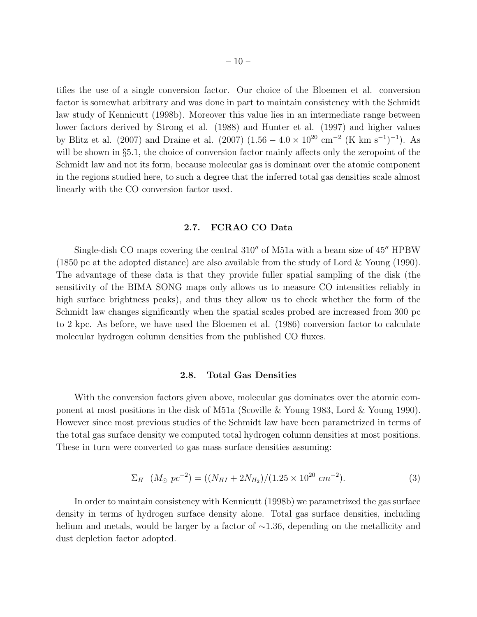tifies the use of a single conversion factor. Our choice of the Bloemen et al. conversion factor is somewhat arbitrary and was done in part to maintain consistency with the Schmidt law study of Kennicutt (1998b). Moreover this value lies in an intermediate range between lower factors derived by Strong et al. (1988) and Hunter et al. (1997) and higher values by Blitz et al. (2007) and Draine et al. (2007)  $(1.56 - 4.0 \times 10^{20} \text{ cm}^{-2} \text{ (K km s}^{-1})^{-1})$ . As will be shown in §5.1, the choice of conversion factor mainly affects only the zeropoint of the Schmidt law and not its form, because molecular gas is dominant over the atomic component in the regions studied here, to such a degree that the inferred total gas densities scale almost linearly with the CO conversion factor used.

#### 2.7. FCRAO CO Data

Single-dish CO maps covering the central 310′′ of M51a with a beam size of 45′′ HPBW (1850 pc at the adopted distance) are also available from the study of Lord & Young (1990). The advantage of these data is that they provide fuller spatial sampling of the disk (the sensitivity of the BIMA SONG maps only allows us to measure CO intensities reliably in high surface brightness peaks), and thus they allow us to check whether the form of the Schmidt law changes significantly when the spatial scales probed are increased from 300 pc to 2 kpc. As before, we have used the Bloemen et al. (1986) conversion factor to calculate molecular hydrogen column densities from the published CO fluxes.

#### 2.8. Total Gas Densities

With the conversion factors given above, molecular gas dominates over the atomic component at most positions in the disk of M51a (Scoville & Young 1983, Lord & Young 1990). However since most previous studies of the Schmidt law have been parametrized in terms of the total gas surface density we computed total hydrogen column densities at most positions. These in turn were converted to gas mass surface densities assuming:

$$
\Sigma_H \left( M_{\odot} \ pc^{-2} \right) = \left( \left( N_{HI} + 2N_{H_2} \right) / (1.25 \times 10^{20} \ cm^{-2}) \right). \tag{3}
$$

In order to maintain consistency with Kennicutt (1998b) we parametrized the gas surface density in terms of hydrogen surface density alone. Total gas surface densities, including helium and metals, would be larger by a factor of ∼1.36, depending on the metallicity and dust depletion factor adopted.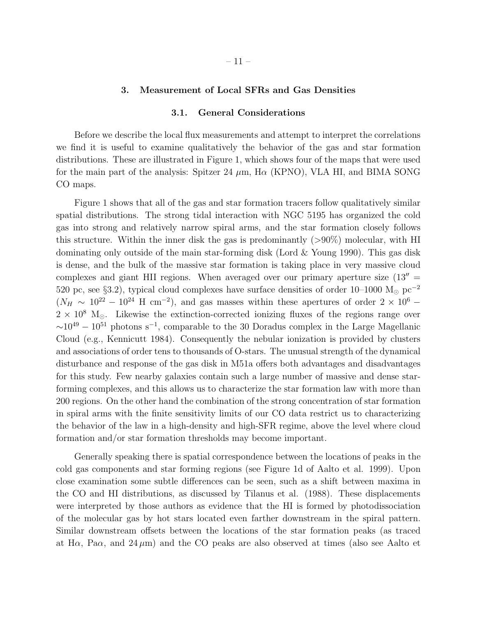#### 3. Measurement of Local SFRs and Gas Densities

#### 3.1. General Considerations

Before we describe the local flux measurements and attempt to interpret the correlations we find it is useful to examine qualitatively the behavior of the gas and star formation distributions. These are illustrated in Figure 1, which shows four of the maps that were used for the main part of the analysis: Spitzer 24  $\mu$ m, H $\alpha$  (KPNO), VLA HI, and BIMA SONG CO maps.

Figure 1 shows that all of the gas and star formation tracers follow qualitatively similar spatial distributions. The strong tidal interaction with NGC 5195 has organized the cold gas into strong and relatively narrow spiral arms, and the star formation closely follows this structure. Within the inner disk the gas is predominantly  $(>90\%)$  molecular, with HI dominating only outside of the main star-forming disk (Lord & Young 1990). This gas disk is dense, and the bulk of the massive star formation is taking place in very massive cloud complexes and giant HII regions. When averaged over our primary aperture size  $(13<sup>′′</sup> =$ 520 pc, see §3.2), typical cloud complexes have surface densities of order 10–1000 M<sub>☉</sub> pc<sup>-2</sup>  $(N_H \sim 10^{22} - 10^{24} \text{ H cm}^{-2})$ , and gas masses within these apertures of order 2 × 10<sup>6</sup> –  $2 \times 10^8$  M<sub>☉</sub>. Likewise the extinction-corrected ionizing fluxes of the regions range over  $\sim 10^{49} - 10^{51}$  photons s<sup>-1</sup>, comparable to the 30 Doradus complex in the Large Magellanic Cloud (e.g., Kennicutt 1984). Consequently the nebular ionization is provided by clusters and associations of order tens to thousands of O-stars. The unusual strength of the dynamical disturbance and response of the gas disk in M51a offers both advantages and disadvantages for this study. Few nearby galaxies contain such a large number of massive and dense starforming complexes, and this allows us to characterize the star formation law with more than 200 regions. On the other hand the combination of the strong concentration of star formation in spiral arms with the finite sensitivity limits of our CO data restrict us to characterizing the behavior of the law in a high-density and high-SFR regime, above the level where cloud formation and/or star formation thresholds may become important.

Generally speaking there is spatial correspondence between the locations of peaks in the cold gas components and star forming regions (see Figure 1d of Aalto et al. 1999). Upon close examination some subtle differences can be seen, such as a shift between maxima in the CO and HI distributions, as discussed by Tilanus et al. (1988). These displacements were interpreted by those authors as evidence that the HI is formed by photodissociation of the molecular gas by hot stars located even farther downstream in the spiral pattern. Similar downstream offsets between the locations of the star formation peaks (as traced at H $\alpha$ , Pa $\alpha$ , and 24  $\mu$ m) and the CO peaks are also observed at times (also see Aalto et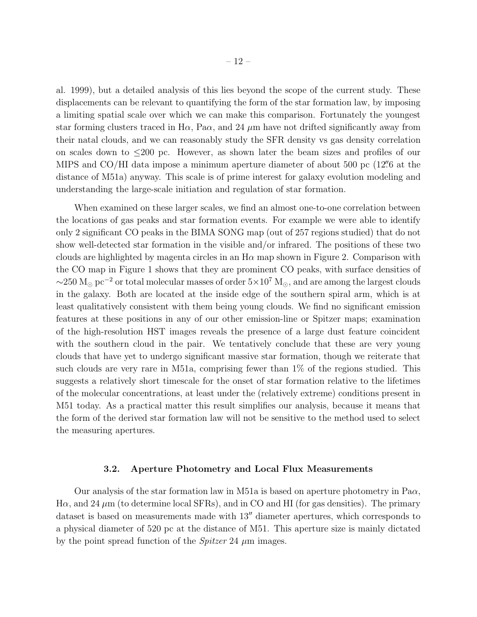al. 1999), but a detailed analysis of this lies beyond the scope of the current study. These displacements can be relevant to quantifying the form of the star formation law, by imposing a limiting spatial scale over which we can make this comparison. Fortunately the youngest star forming clusters traced in H $\alpha$ , Pa $\alpha$ , and 24  $\mu$ m have not drifted significantly away from their natal clouds, and we can reasonably study the SFR density vs gas density correlation on scales down to ≤200 pc. However, as shown later the beam sizes and profiles of our MIPS and CO/HI data impose a minimum aperture diameter of about 500 pc (12'' 6 at the distance of M51a) anyway. This scale is of prime interest for galaxy evolution modeling and understanding the large-scale initiation and regulation of star formation.

When examined on these larger scales, we find an almost one-to-one correlation between the locations of gas peaks and star formation events. For example we were able to identify only 2 significant CO peaks in the BIMA SONG map (out of 257 regions studied) that do not show well-detected star formation in the visible and/or infrared. The positions of these two clouds are highlighted by magenta circles in an  $H\alpha$  map shown in Figure 2. Comparison with the CO map in Figure 1 shows that they are prominent CO peaks, with surface densities of  $\sim$ 250 M<sub>☉</sub> pc<sup>-2</sup> or total molecular masses of order  $5\times10^7$  M<sub>☉</sub>, and are among the largest clouds in the galaxy. Both are located at the inside edge of the southern spiral arm, which is at least qualitatively consistent with them being young clouds. We find no significant emission features at these positions in any of our other emission-line or Spitzer maps; examination of the high-resolution HST images reveals the presence of a large dust feature coincident with the southern cloud in the pair. We tentatively conclude that these are very young clouds that have yet to undergo significant massive star formation, though we reiterate that such clouds are very rare in M51a, comprising fewer than 1% of the regions studied. This suggests a relatively short timescale for the onset of star formation relative to the lifetimes of the molecular concentrations, at least under the (relatively extreme) conditions present in M51 today. As a practical matter this result simplifies our analysis, because it means that the form of the derived star formation law will not be sensitive to the method used to select the measuring apertures.

#### 3.2. Aperture Photometry and Local Flux Measurements

Our analysis of the star formation law in M51a is based on aperture photometry in Pa $\alpha$ , H $\alpha$ , and 24  $\mu$ m (to determine local SFRs), and in CO and HI (for gas densities). The primary dataset is based on measurements made with 13′′ diameter apertures, which corresponds to a physical diameter of 520 pc at the distance of M51. This aperture size is mainly dictated by the point spread function of the *Spitzer* 24  $\mu$ m images.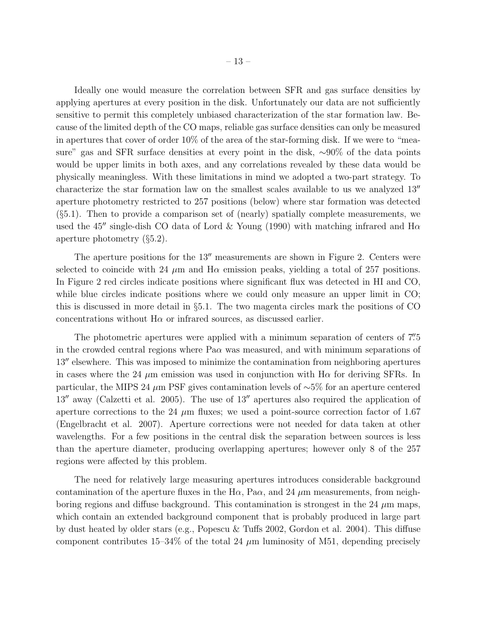Ideally one would measure the correlation between SFR and gas surface densities by applying apertures at every position in the disk. Unfortunately our data are not sufficiently sensitive to permit this completely unbiased characterization of the star formation law. Because of the limited depth of the CO maps, reliable gas surface densities can only be measured in apertures that cover of order 10% of the area of the star-forming disk. If we were to "measure" gas and SFR surface densities at every point in the disk,  $\sim 90\%$  of the data points would be upper limits in both axes, and any correlations revealed by these data would be physically meaningless. With these limitations in mind we adopted a two-part strategy. To characterize the star formation law on the smallest scales available to us we analyzed 13′′ aperture photometry restricted to 257 positions (below) where star formation was detected (§5.1). Then to provide a comparison set of (nearly) spatially complete measurements, we used the 45<sup> $\prime\prime$ </sup> single-dish CO data of Lord & Young (1990) with matching infrared and H $\alpha$ aperture photometry (§5.2).

The aperture positions for the 13<sup>''</sup> measurements are shown in Figure 2. Centers were selected to coincide with 24  $\mu$ m and H $\alpha$  emission peaks, yielding a total of 257 positions. In Figure 2 red circles indicate positions where significant flux was detected in HI and CO, while blue circles indicate positions where we could only measure an upper limit in CO; this is discussed in more detail in §5.1. The two magenta circles mark the positions of CO concentrations without  $H\alpha$  or infrared sources, as discussed earlier.

The photometric apertures were applied with a minimum separation of centers of 7".5" in the crowded central regions where  $Pa\alpha$  was measured, and with minimum separations of 13′′ elsewhere. This was imposed to minimize the contamination from neighboring apertures in cases where the 24  $\mu$ m emission was used in conjunction with H $\alpha$  for deriving SFRs. In particular, the MIPS 24  $\mu$ m PSF gives contamination levels of ∼5% for an aperture centered 13′′ away (Calzetti et al. 2005). The use of 13′′ apertures also required the application of aperture corrections to the 24  $\mu$ m fluxes; we used a point-source correction factor of 1.67 (Engelbracht et al. 2007). Aperture corrections were not needed for data taken at other wavelengths. For a few positions in the central disk the separation between sources is less than the aperture diameter, producing overlapping apertures; however only 8 of the 257 regions were affected by this problem.

The need for relatively large measuring apertures introduces considerable background contamination of the aperture fluxes in the H $\alpha$ , Pa $\alpha$ , and 24  $\mu$ m measurements, from neighboring regions and diffuse background. This contamination is strongest in the 24  $\mu$ m maps, which contain an extended background component that is probably produced in large part by dust heated by older stars (e.g., Popescu & Tuffs 2002, Gordon et al. 2004). This diffuse component contributes 15–34% of the total 24  $\mu$ m luminosity of M51, depending precisely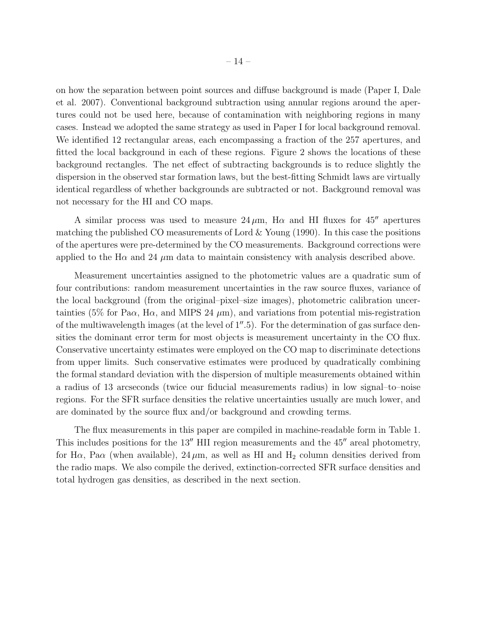on how the separation between point sources and diffuse background is made (Paper I, Dale et al. 2007). Conventional background subtraction using annular regions around the apertures could not be used here, because of contamination with neighboring regions in many cases. Instead we adopted the same strategy as used in Paper I for local background removal. We identified 12 rectangular areas, each encompassing a fraction of the 257 apertures, and fitted the local background in each of these regions. Figure 2 shows the locations of these background rectangles. The net effect of subtracting backgrounds is to reduce slightly the dispersion in the observed star formation laws, but the best-fitting Schmidt laws are virtually identical regardless of whether backgrounds are subtracted or not. Background removal was not necessary for the HI and CO maps.

A similar process was used to measure  $24 \mu m$ ,  $H\alpha$  and HI fluxes for  $45''$  apertures matching the published CO measurements of Lord & Young (1990). In this case the positions of the apertures were pre-determined by the CO measurements. Background corrections were applied to the H $\alpha$  and 24  $\mu$ m data to maintain consistency with analysis described above.

Measurement uncertainties assigned to the photometric values are a quadratic sum of four contributions: random measurement uncertainties in the raw source fluxes, variance of the local background (from the original–pixel–size images), photometric calibration uncertainties (5% for Pa $\alpha$ , H $\alpha$ , and MIPS 24  $\mu$ m), and variations from potential mis-registration of the multiwavelength images (at the level of 1′′.5). For the determination of gas surface densities the dominant error term for most objects is measurement uncertainty in the CO flux. Conservative uncertainty estimates were employed on the CO map to discriminate detections from upper limits. Such conservative estimates were produced by quadratically combining the formal standard deviation with the dispersion of multiple measurements obtained within a radius of 13 arcseconds (twice our fiducial measurements radius) in low signal–to–noise regions. For the SFR surface densities the relative uncertainties usually are much lower, and are dominated by the source flux and/or background and crowding terms.

The flux measurements in this paper are compiled in machine-readable form in Table 1. This includes positions for the 13<sup>"</sup> HII region measurements and the 45<sup>"</sup> areal photometry, for H $\alpha$ , Pa $\alpha$  (when available), 24  $\mu$ m, as well as HI and H<sub>2</sub> column densities derived from the radio maps. We also compile the derived, extinction-corrected SFR surface densities and total hydrogen gas densities, as described in the next section.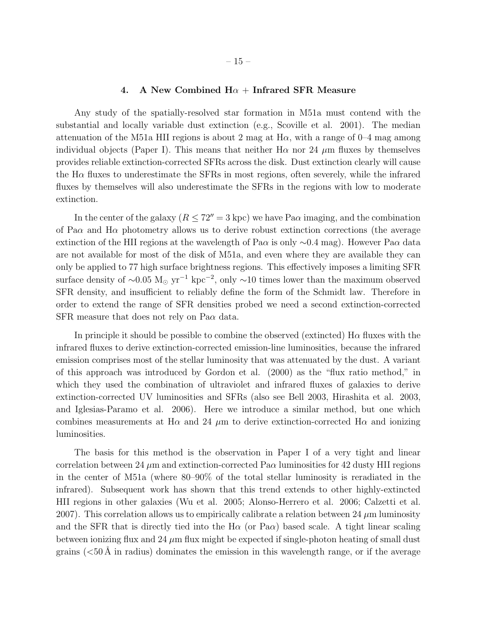### 4. A New Combined  $H\alpha$  + Infrared SFR Measure

Any study of the spatially-resolved star formation in M51a must contend with the substantial and locally variable dust extinction (e.g., Scoville et al. 2001). The median attenuation of the M51a HII regions is about 2 mag at H $\alpha$ , with a range of 0–4 mag among individual objects (Paper I). This means that neither H $\alpha$  nor 24  $\mu$ m fluxes by themselves provides reliable extinction-corrected SFRs across the disk. Dust extinction clearly will cause the  $H\alpha$  fluxes to underestimate the SFRs in most regions, often severely, while the infrared fluxes by themselves will also underestimate the SFRs in the regions with low to moderate extinction.

In the center of the galaxy  $(R \leq 72'' = 3 \text{ kpc})$  we have Pa $\alpha$  imaging, and the combination of Pa $\alpha$  and H $\alpha$  photometry allows us to derive robust extinction corrections (the average extinction of the HII regions at the wavelength of Pa $\alpha$  is only ∼0.4 mag). However Pa $\alpha$  data are not available for most of the disk of M51a, and even where they are available they can only be applied to 77 high surface brightness regions. This effectively imposes a limiting SFR surface density of ~0.05 M<sub>☉</sub> yr<sup>-1</sup> kpc<sup>-2</sup>, only ~10 times lower than the maximum observed SFR density, and insufficient to reliably define the form of the Schmidt law. Therefore in order to extend the range of SFR densities probed we need a second extinction-corrected SFR measure that does not rely on Pa $\alpha$  data.

In principle it should be possible to combine the observed (extincted)  $\text{H}\alpha$  fluxes with the infrared fluxes to derive extinction-corrected emission-line luminosities, because the infrared emission comprises most of the stellar luminosity that was attenuated by the dust. A variant of this approach was introduced by Gordon et al. (2000) as the "flux ratio method," in which they used the combination of ultraviolet and infrared fluxes of galaxies to derive extinction-corrected UV luminosities and SFRs (also see Bell 2003, Hirashita et al. 2003, and Iglesias-Paramo et al. 2006). Here we introduce a similar method, but one which combines measurements at H $\alpha$  and 24  $\mu$ m to derive extinction-corrected H $\alpha$  and ionizing luminosities.

The basis for this method is the observation in Paper I of a very tight and linear correlation between 24  $\mu$ m and extinction-corrected Pa $\alpha$  luminosities for 42 dusty HII regions in the center of M51a (where 80–90% of the total stellar luminosity is reradiated in the infrared). Subsequent work has shown that this trend extends to other highly-extincted HII regions in other galaxies (Wu et al. 2005; Alonso-Herrero et al. 2006; Calzetti et al. 2007). This correlation allows us to empirically calibrate a relation between 24  $\mu$ m luminosity and the SFR that is directly tied into the H $\alpha$  (or Pa $\alpha$ ) based scale. A tight linear scaling between ionizing flux and 24  $\mu$ m flux might be expected if single-photon heating of small dust grains  $(<50 \text{ Å}$  in radius) dominates the emission in this wavelength range, or if the average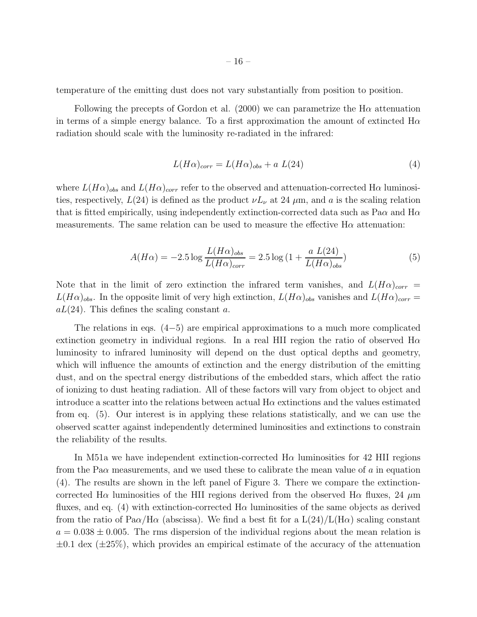temperature of the emitting dust does not vary substantially from position to position.

Following the precepts of Gordon et al.  $(2000)$  we can parametrize the H $\alpha$  attenuation in terms of a simple energy balance. To a first approximation the amount of extincted  $H\alpha$ radiation should scale with the luminosity re-radiated in the infrared:

$$
L(H\alpha)_{corr} = L(H\alpha)_{obs} + a L(24)
$$
\n<sup>(4)</sup>

where  $L(H\alpha)_{obs}$  and  $L(H\alpha)_{corr}$  refer to the observed and attenuation-corrected H $\alpha$  luminosities, respectively,  $L(24)$  is defined as the product  $\nu L_{\nu}$  at 24  $\mu$ m, and a is the scaling relation that is fitted empirically, using independently extinction-corrected data such as Pa $\alpha$  and H $\alpha$ measurements. The same relation can be used to measure the effective  $H\alpha$  attenuation:

$$
A(H\alpha) = -2.5 \log \frac{L(H\alpha)_{obs}}{L(H\alpha)_{corr}} = 2.5 \log \left(1 + \frac{a L(24)}{L(H\alpha)_{obs}}\right)
$$
(5)

Note that in the limit of zero extinction the infrared term vanishes, and  $L(H\alpha)_{corr}$  =  $L(H\alpha)_{obs}$ . In the opposite limit of very high extinction,  $L(H\alpha)_{obs}$  vanishes and  $L(H\alpha)_{corr} =$  $aL(24)$ . This defines the scaling constant a.

The relations in eqs. (4−5) are empirical approximations to a much more complicated extinction geometry in individual regions. In a real HII region the ratio of observed  $H\alpha$ luminosity to infrared luminosity will depend on the dust optical depths and geometry, which will influence the amounts of extinction and the energy distribution of the emitting dust, and on the spectral energy distributions of the embedded stars, which affect the ratio of ionizing to dust heating radiation. All of these factors will vary from object to object and introduce a scatter into the relations between actual  $H\alpha$  extinctions and the values estimated from eq. (5). Our interest is in applying these relations statistically, and we can use the observed scatter against independently determined luminosities and extinctions to constrain the reliability of the results.

In M51a we have independent extinction-corrected  $H\alpha$  luminosities for 42 HII regions from the Pa $\alpha$  measurements, and we used these to calibrate the mean value of  $\alpha$  in equation (4). The results are shown in the left panel of Figure 3. There we compare the extinctioncorrected H $\alpha$  luminosities of the HII regions derived from the observed H $\alpha$  fluxes, 24  $\mu$ m fluxes, and eq. (4) with extinction-corrected  $H\alpha$  luminosities of the same objects as derived from the ratio of Pa $\alpha$ /H $\alpha$  (abscissa). We find a best fit for a L(24)/L(H $\alpha$ ) scaling constant  $a = 0.038 \pm 0.005$ . The rms dispersion of the individual regions about the mean relation is  $\pm 0.1$  dex  $(\pm 25\%)$ , which provides an empirical estimate of the accuracy of the attenuation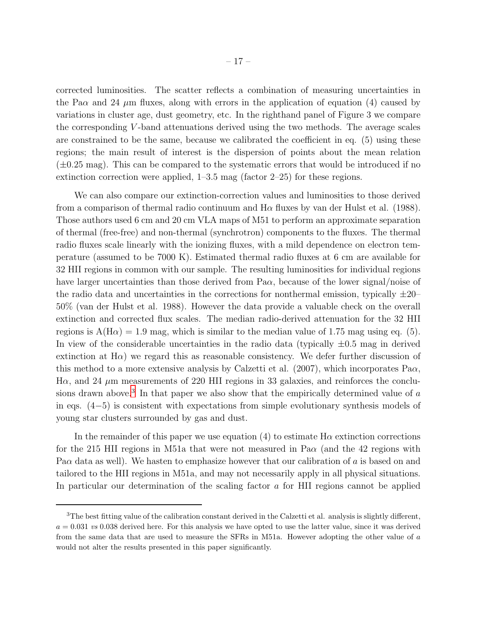corrected luminosities. The scatter reflects a combination of measuring uncertainties in the Pa $\alpha$  and 24  $\mu$ m fluxes, along with errors in the application of equation (4) caused by variations in cluster age, dust geometry, etc. In the righthand panel of Figure 3 we compare the corresponding  $V$ -band attenuations derived using the two methods. The average scales are constrained to be the same, because we calibrated the coefficient in eq. (5) using these regions; the main result of interest is the dispersion of points about the mean relation  $(\pm 0.25 \text{ mag})$ . This can be compared to the systematic errors that would be introduced if no extinction correction were applied,  $1-3.5$  mag (factor  $2-25$ ) for these regions.

We can also compare our extinction-correction values and luminosities to those derived from a comparison of thermal radio continuum and  $H\alpha$  fluxes by van der Hulst et al. (1988). Those authors used 6 cm and 20 cm VLA maps of M51 to perform an approximate separation of thermal (free-free) and non-thermal (synchrotron) components to the fluxes. The thermal radio fluxes scale linearly with the ionizing fluxes, with a mild dependence on electron temperature (assumed to be 7000 K). Estimated thermal radio fluxes at 6 cm are available for 32 HII regions in common with our sample. The resulting luminosities for individual regions have larger uncertainties than those derived from  $Pa\alpha$ , because of the lower signal/noise of the radio data and uncertainties in the corrections for nonthermal emission, typically  $\pm 20$ 50% (van der Hulst et al. 1988). However the data provide a valuable check on the overall extinction and corrected flux scales. The median radio-derived attenuation for the 32 HII regions is  $A(H\alpha) = 1.9$  mag, which is similar to the median value of 1.75 mag using eq. (5). In view of the considerable uncertainties in the radio data (typically  $\pm 0.5$  mag in derived extinction at  $H\alpha$ ) we regard this as reasonable consistency. We defer further discussion of this method to a more extensive analysis by Calzetti et al. (2007), which incorporates  $Pa\alpha$ , H $\alpha$ , and 24  $\mu$ m measurements of 220 HII regions in 33 galaxies, and reinforces the conclu-sions drawn above.<sup>[3](#page-36-0)</sup> In that paper we also show that the empirically determined value of  $a$ in eqs. (4−5) is consistent with expectations from simple evolutionary synthesis models of young star clusters surrounded by gas and dust.

In the remainder of this paper we use equation (4) to estimate  $H\alpha$  extinction corrections for the 215 HII regions in M51a that were not measured in Paα (and the 42 regions with Pa $\alpha$  data as well). We hasten to emphasize however that our calibration of a is based on and tailored to the HII regions in M51a, and may not necessarily apply in all physical situations. In particular our determination of the scaling factor a for HII regions cannot be applied

<sup>&</sup>lt;sup>3</sup>The best fitting value of the calibration constant derived in the Calzetti et al. analysis is slightly different,  $a = 0.031$  vs 0.038 derived here. For this analysis we have opted to use the latter value, since it was derived from the same data that are used to measure the SFRs in M51a. However adopting the other value of a would not alter the results presented in this paper significantly.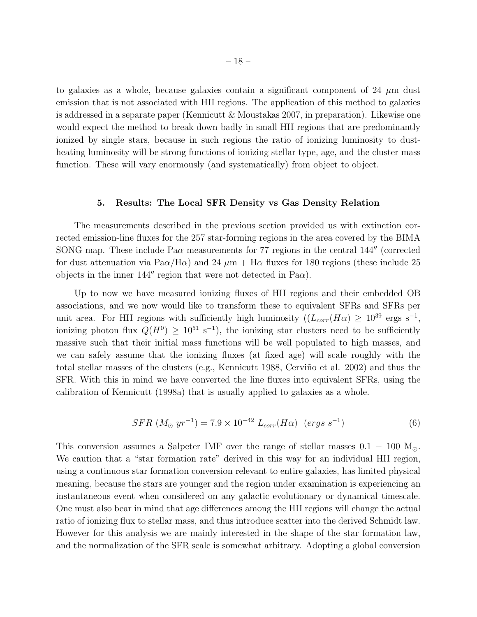to galaxies as a whole, because galaxies contain a significant component of 24  $\mu$ m dust emission that is not associated with HII regions. The application of this method to galaxies is addressed in a separate paper (Kennicutt & Moustakas 2007, in preparation). Likewise one would expect the method to break down badly in small HII regions that are predominantly ionized by single stars, because in such regions the ratio of ionizing luminosity to dustheating luminosity will be strong functions of ionizing stellar type, age, and the cluster mass function. These will vary enormously (and systematically) from object to object.

#### 5. Results: The Local SFR Density vs Gas Density Relation

The measurements described in the previous section provided us with extinction corrected emission-line fluxes for the 257 star-forming regions in the area covered by the BIMA SONG map. These include Pa $\alpha$  measurements for 77 regions in the central 144'' (corrected for dust attenuation via Pa $\alpha/H\alpha$ ) and 24  $\mu$ m + H $\alpha$  fluxes for 180 regions (these include 25 objects in the inner 144'' region that were not detected in  $Pa\alpha$ ).

Up to now we have measured ionizing fluxes of HII regions and their embedded OB associations, and we now would like to transform these to equivalent SFRs and SFRs per unit area. For HII regions with sufficiently high luminosity  $((L_{corr}(H\alpha) \geq 10^{39} \text{ ergs s}^{-1},$ ionizing photon flux  $Q(H^0) \geq 10^{51} \text{ s}^{-1}$ , the ionizing star clusters need to be sufficiently massive such that their initial mass functions will be well populated to high masses, and we can safely assume that the ionizing fluxes (at fixed age) will scale roughly with the total stellar masses of the clusters (e.g., Kennicutt 1988, Cerviño et al. 2002) and thus the SFR. With this in mind we have converted the line fluxes into equivalent SFRs, using the calibration of Kennicutt (1998a) that is usually applied to galaxies as a whole.

$$
SFR (M_{\odot} yr^{-1}) = 7.9 \times 10^{-42} L_{corr}(H\alpha) (ergs s^{-1})
$$
 (6)

This conversion assumes a Salpeter IMF over the range of stellar masses  $0.1 - 100$  M<sub>☉</sub>. We caution that a "star formation rate" derived in this way for an individual HII region, using a continuous star formation conversion relevant to entire galaxies, has limited physical meaning, because the stars are younger and the region under examination is experiencing an instantaneous event when considered on any galactic evolutionary or dynamical timescale. One must also bear in mind that age differences among the HII regions will change the actual ratio of ionizing flux to stellar mass, and thus introduce scatter into the derived Schmidt law. However for this analysis we are mainly interested in the shape of the star formation law, and the normalization of the SFR scale is somewhat arbitrary. Adopting a global conversion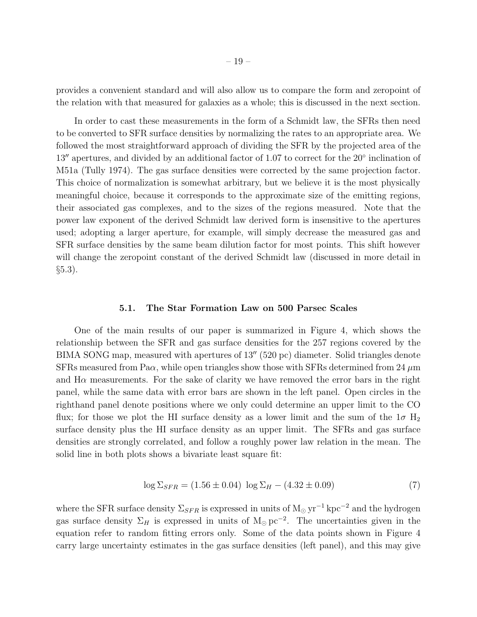provides a convenient standard and will also allow us to compare the form and zeropoint of the relation with that measured for galaxies as a whole; this is discussed in the next section.

In order to cast these measurements in the form of a Schmidt law, the SFRs then need to be converted to SFR surface densities by normalizing the rates to an appropriate area. We followed the most straightforward approach of dividing the SFR by the projected area of the 13″ apertures, and divided by an additional factor of 1.07 to correct for the 20° inclination of M51a (Tully 1974). The gas surface densities were corrected by the same projection factor. This choice of normalization is somewhat arbitrary, but we believe it is the most physically meaningful choice, because it corresponds to the approximate size of the emitting regions, their associated gas complexes, and to the sizes of the regions measured. Note that the power law exponent of the derived Schmidt law derived form is insensitive to the apertures used; adopting a larger aperture, for example, will simply decrease the measured gas and SFR surface densities by the same beam dilution factor for most points. This shift however will change the zeropoint constant of the derived Schmidt law (discussed in more detail in §5.3).

#### 5.1. The Star Formation Law on 500 Parsec Scales

One of the main results of our paper is summarized in Figure 4, which shows the relationship between the SFR and gas surface densities for the 257 regions covered by the BIMA SONG map, measured with apertures of 13′′ (520 pc) diameter. Solid triangles denote SFRs measured from Pa $\alpha$ , while open triangles show those with SFRs determined from 24  $\mu$ m and  $H\alpha$  measurements. For the sake of clarity we have removed the error bars in the right panel, while the same data with error bars are shown in the left panel. Open circles in the righthand panel denote positions where we only could determine an upper limit to the CO flux; for those we plot the HI surface density as a lower limit and the sum of the  $1\sigma$  H<sub>2</sub> surface density plus the HI surface density as an upper limit. The SFRs and gas surface densities are strongly correlated, and follow a roughly power law relation in the mean. The solid line in both plots shows a bivariate least square fit:

$$
\log \Sigma_{SFR} = (1.56 \pm 0.04) \log \Sigma_H - (4.32 \pm 0.09) \tag{7}
$$

where the SFR surface density  $\Sigma_{SFR}$  is expressed in units of  $M_{\odot}$  yr<sup>-1</sup> kpc<sup>-2</sup> and the hydrogen gas surface density  $\Sigma_H$  is expressed in units of  $M_{\odot}$  pc<sup>-2</sup>. The uncertainties given in the equation refer to random fitting errors only. Some of the data points shown in Figure 4 carry large uncertainty estimates in the gas surface densities (left panel), and this may give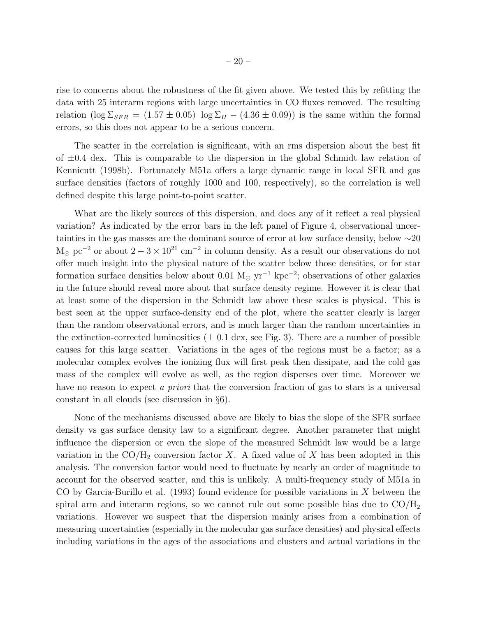rise to concerns about the robustness of the fit given above. We tested this by refitting the data with 25 interarm regions with large uncertainties in CO fluxes removed. The resulting relation  $(\log \Sigma_{SFR} = (1.57 \pm 0.05) \log \Sigma_H - (4.36 \pm 0.09))$  is the same within the formal errors, so this does not appear to be a serious concern.

The scatter in the correlation is significant, with an rms dispersion about the best fit of  $\pm 0.4$  dex. This is comparable to the dispersion in the global Schmidt law relation of Kennicutt (1998b). Fortunately M51a offers a large dynamic range in local SFR and gas surface densities (factors of roughly 1000 and 100, respectively), so the correlation is well defined despite this large point-to-point scatter.

What are the likely sources of this dispersion, and does any of it reflect a real physical variation? As indicated by the error bars in the left panel of Figure 4, observational uncertainties in the gas masses are the dominant source of error at low surface density, below ∼20  $M_{\odot}$  pc<sup>-2</sup> or about 2 – 3 × 10<sup>21</sup> cm<sup>-2</sup> in column density. As a result our observations do not offer much insight into the physical nature of the scatter below those densities, or for star formation surface densities below about 0.01 M<sub>☉</sub> yr<sup>-1</sup> kpc<sup>-2</sup>; observations of other galaxies in the future should reveal more about that surface density regime. However it is clear that at least some of the dispersion in the Schmidt law above these scales is physical. This is best seen at the upper surface-density end of the plot, where the scatter clearly is larger than the random observational errors, and is much larger than the random uncertainties in the extinction-corrected luminosities  $(\pm 0.1 \text{ dex}, \text{see Fig. 3})$ . There are a number of possible causes for this large scatter. Variations in the ages of the regions must be a factor; as a molecular complex evolves the ionizing flux will first peak then dissipate, and the cold gas mass of the complex will evolve as well, as the region disperses over time. Moreover we have no reason to expect a priori that the conversion fraction of gas to stars is a universal constant in all clouds (see discussion in §6).

None of the mechanisms discussed above are likely to bias the slope of the SFR surface density vs gas surface density law to a significant degree. Another parameter that might influence the dispersion or even the slope of the measured Schmidt law would be a large variation in the  $CO/H<sub>2</sub>$  conversion factor X. A fixed value of X has been adopted in this analysis. The conversion factor would need to fluctuate by nearly an order of magnitude to account for the observed scatter, and this is unlikely. A multi-frequency study of M51a in CO by Garcia-Burillo et al. (1993) found evidence for possible variations in  $X$  between the spiral arm and interarm regions, so we cannot rule out some possible bias due to  $CO/H<sub>2</sub>$ variations. However we suspect that the dispersion mainly arises from a combination of measuring uncertainties (especially in the molecular gas surface densities) and physical effects including variations in the ages of the associations and clusters and actual variations in the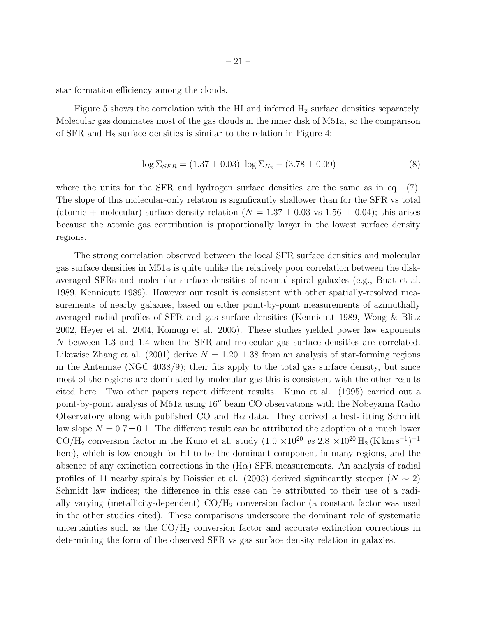star formation efficiency among the clouds.

Figure 5 shows the correlation with the HI and inferred  $H_2$  surface densities separately. Molecular gas dominates most of the gas clouds in the inner disk of M51a, so the comparison of SFR and  $H_2$  surface densities is similar to the relation in Figure 4:

$$
\log \Sigma_{SFR} = (1.37 \pm 0.03) \log \Sigma_{H_2} - (3.78 \pm 0.09) \tag{8}
$$

where the units for the SFR and hydrogen surface densities are the same as in eq. (7). The slope of this molecular-only relation is significantly shallower than for the SFR vs total (atomic + molecular) surface density relation  $(N = 1.37 \pm 0.03 \text{ vs } 1.56 \pm 0.04)$ ; this arises because the atomic gas contribution is proportionally larger in the lowest surface density regions.

The strong correlation observed between the local SFR surface densities and molecular gas surface densities in M51a is quite unlike the relatively poor correlation between the diskaveraged SFRs and molecular surface densities of normal spiral galaxies (e.g., Buat et al. 1989, Kennicutt 1989). However our result is consistent with other spatially-resolved measurements of nearby galaxies, based on either point-by-point measurements of azimuthally averaged radial profiles of SFR and gas surface densities (Kennicutt 1989, Wong & Blitz 2002, Heyer et al. 2004, Komugi et al. 2005). These studies yielded power law exponents N between 1.3 and 1.4 when the SFR and molecular gas surface densities are correlated. Likewise Zhang et al. (2001) derive  $N = 1.20{\text -}1.38$  from an analysis of star-forming regions in the Antennae (NGC 4038/9); their fits apply to the total gas surface density, but since most of the regions are dominated by molecular gas this is consistent with the other results cited here. Two other papers report different results. Kuno et al. (1995) carried out a point-by-point analysis of M51a using 16′′ beam CO observations with the Nobeyama Radio Observatory along with published CO and  $H\alpha$  data. They derived a best-fitting Schmidt law slope  $N = 0.7 \pm 0.1$ . The different result can be attributed the adoption of a much lower CO/H<sub>2</sub> conversion factor in the Kuno et al. study  $(1.0 \times 10^{20} \text{ vs } 2.8 \times 10^{20} \text{ H}_2)(K \text{ km s}^{-1})^{-1}$ here), which is low enough for HI to be the dominant component in many regions, and the absence of any extinction corrections in the  $(H\alpha)$  SFR measurements. An analysis of radial profiles of 11 nearby spirals by Boissier et al. (2003) derived significantly steeper ( $N \sim 2$ ) Schmidt law indices; the difference in this case can be attributed to their use of a radially varying (metallicity-dependent)  $CO/H<sub>2</sub>$  conversion factor (a constant factor was used in the other studies cited). These comparisons underscore the dominant role of systematic uncertainties such as the  $CO/H<sub>2</sub>$  conversion factor and accurate extinction corrections in determining the form of the observed SFR vs gas surface density relation in galaxies.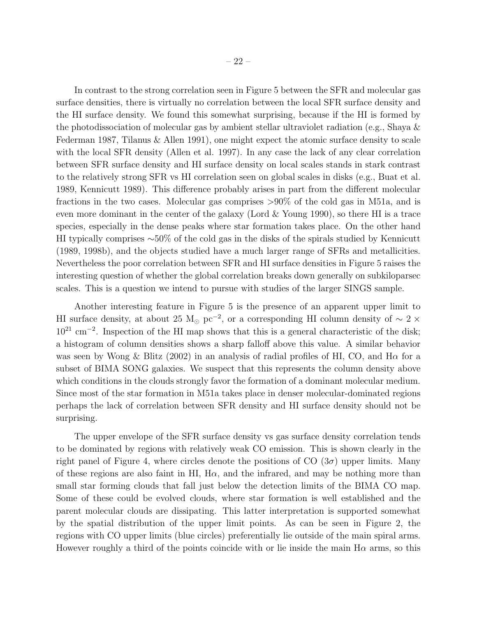In contrast to the strong correlation seen in Figure 5 between the SFR and molecular gas surface densities, there is virtually no correlation between the local SFR surface density and the HI surface density. We found this somewhat surprising, because if the HI is formed by the photodissociation of molecular gas by ambient stellar ultraviolet radiation (e.g., Shaya & Federman 1987, Tilanus & Allen 1991), one might expect the atomic surface density to scale with the local SFR density (Allen et al. 1997). In any case the lack of any clear correlation between SFR surface density and HI surface density on local scales stands in stark contrast to the relatively strong SFR vs HI correlation seen on global scales in disks (e.g., Buat et al. 1989, Kennicutt 1989). This difference probably arises in part from the different molecular fractions in the two cases. Molecular gas comprises >90% of the cold gas in M51a, and is even more dominant in the center of the galaxy (Lord & Young 1990), so there HI is a trace species, especially in the dense peaks where star formation takes place. On the other hand HI typically comprises ∼50% of the cold gas in the disks of the spirals studied by Kennicutt (1989, 1998b), and the objects studied have a much larger range of SFRs and metallicities. Nevertheless the poor correlation between SFR and HI surface densities in Figure 5 raises the interesting question of whether the global correlation breaks down generally on subkiloparsec scales. This is a question we intend to pursue with studies of the larger SINGS sample.

Another interesting feature in Figure 5 is the presence of an apparent upper limit to HI surface density, at about 25 M<sub>☉</sub> pc<sup>-2</sup>, or a corresponding HI column density of  $\sim 2 \times$ 10<sup>21</sup> cm<sup>-2</sup>. Inspection of the HI map shows that this is a general characteristic of the disk; a histogram of column densities shows a sharp falloff above this value. A similar behavior was seen by Wong & Blitz (2002) in an analysis of radial profiles of HI, CO, and H $\alpha$  for a subset of BIMA SONG galaxies. We suspect that this represents the column density above which conditions in the clouds strongly favor the formation of a dominant molecular medium. Since most of the star formation in M51a takes place in denser molecular-dominated regions perhaps the lack of correlation between SFR density and HI surface density should not be surprising.

The upper envelope of the SFR surface density vs gas surface density correlation tends to be dominated by regions with relatively weak CO emission. This is shown clearly in the right panel of Figure 4, where circles denote the positions of CO  $(3\sigma)$  upper limits. Many of these regions are also faint in HI,  $H\alpha$ , and the infrared, and may be nothing more than small star forming clouds that fall just below the detection limits of the BIMA CO map. Some of these could be evolved clouds, where star formation is well established and the parent molecular clouds are dissipating. This latter interpretation is supported somewhat by the spatial distribution of the upper limit points. As can be seen in Figure 2, the regions with CO upper limits (blue circles) preferentially lie outside of the main spiral arms. However roughly a third of the points coincide with or lie inside the main  $H\alpha$  arms, so this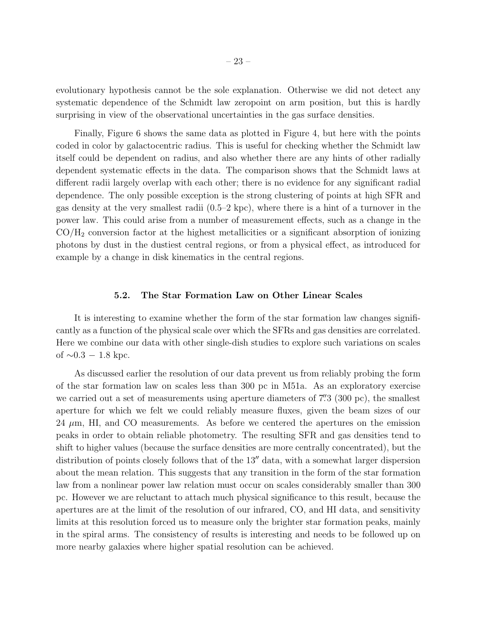evolutionary hypothesis cannot be the sole explanation. Otherwise we did not detect any systematic dependence of the Schmidt law zeropoint on arm position, but this is hardly surprising in view of the observational uncertainties in the gas surface densities.

Finally, Figure 6 shows the same data as plotted in Figure 4, but here with the points coded in color by galactocentric radius. This is useful for checking whether the Schmidt law itself could be dependent on radius, and also whether there are any hints of other radially dependent systematic effects in the data. The comparison shows that the Schmidt laws at different radii largely overlap with each other; there is no evidence for any significant radial dependence. The only possible exception is the strong clustering of points at high SFR and gas density at the very smallest radii (0.5–2 kpc), where there is a hint of a turnover in the power law. This could arise from a number of measurement effects, such as a change in the  $CO/H<sub>2</sub>$  conversion factor at the highest metallicities or a significant absorption of ionizing photons by dust in the dustiest central regions, or from a physical effect, as introduced for example by a change in disk kinematics in the central regions.

## 5.2. The Star Formation Law on Other Linear Scales

It is interesting to examine whether the form of the star formation law changes significantly as a function of the physical scale over which the SFRs and gas densities are correlated. Here we combine our data with other single-dish studies to explore such variations on scales of  $\sim$ 0.3 − 1.8 kpc.

As discussed earlier the resolution of our data prevent us from reliably probing the form of the star formation law on scales less than 300 pc in M51a. As an exploratory exercise we carried out a set of measurements using aperture diameters of 7'' 3 (300 pc), the smallest aperture for which we felt we could reliably measure fluxes, given the beam sizes of our 24  $\mu$ m, HI, and CO measurements. As before we centered the apertures on the emission peaks in order to obtain reliable photometry. The resulting SFR and gas densities tend to shift to higher values (because the surface densities are more centrally concentrated), but the distribution of points closely follows that of the 13" data, with a somewhat larger dispersion about the mean relation. This suggests that any transition in the form of the star formation law from a nonlinear power law relation must occur on scales considerably smaller than 300 pc. However we are reluctant to attach much physical significance to this result, because the apertures are at the limit of the resolution of our infrared, CO, and HI data, and sensitivity limits at this resolution forced us to measure only the brighter star formation peaks, mainly in the spiral arms. The consistency of results is interesting and needs to be followed up on more nearby galaxies where higher spatial resolution can be achieved.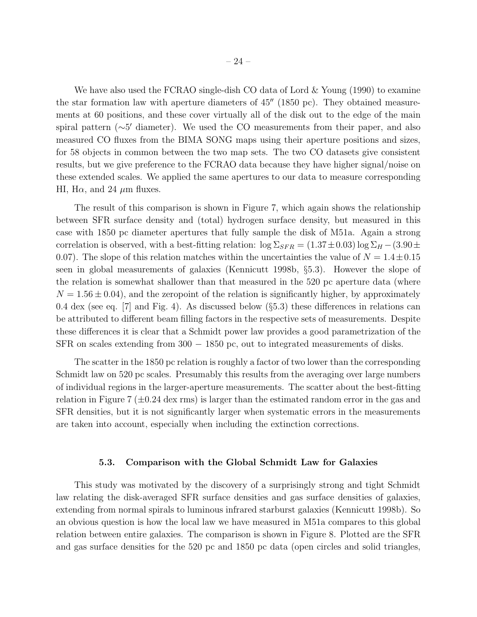We have also used the FCRAO single-dish CO data of Lord & Young (1990) to examine the star formation law with aperture diameters of 45′′ (1850 pc). They obtained measurements at 60 positions, and these cover virtually all of the disk out to the edge of the main spiral pattern (∼5 ′ diameter). We used the CO measurements from their paper, and also measured CO fluxes from the BIMA SONG maps using their aperture positions and sizes, for 58 objects in common between the two map sets. The two CO datasets give consistent results, but we give preference to the FCRAO data because they have higher signal/noise on these extended scales. We applied the same apertures to our data to measure corresponding HI, H $\alpha$ , and 24  $\mu$ m fluxes.

The result of this comparison is shown in Figure 7, which again shows the relationship between SFR surface density and (total) hydrogen surface density, but measured in this case with 1850 pc diameter apertures that fully sample the disk of M51a. Again a strong correlation is observed, with a best-fitting relation:  $\log \Sigma_{SFR} = (1.37 \pm 0.03) \log \Sigma_H - (3.90 \pm 0.03)$ 0.07). The slope of this relation matches within the uncertainties the value of  $N = 1.4 \pm 0.15$ seen in global measurements of galaxies (Kennicutt 1998b, §5.3). However the slope of the relation is somewhat shallower than that measured in the 520 pc aperture data (where  $N = 1.56 \pm 0.04$ , and the zeropoint of the relation is significantly higher, by approximately 0.4 dex (see eq. [7] and Fig. 4). As discussed below  $(\S 5.3)$  these differences in relations can be attributed to different beam filling factors in the respective sets of measurements. Despite these differences it is clear that a Schmidt power law provides a good parametrization of the SFR on scales extending from 300 − 1850 pc, out to integrated measurements of disks.

The scatter in the 1850 pc relation is roughly a factor of two lower than the corresponding Schmidt law on 520 pc scales. Presumably this results from the averaging over large numbers of individual regions in the larger-aperture measurements. The scatter about the best-fitting relation in Figure 7  $(\pm 0.24 \text{ dex rms})$  is larger than the estimated random error in the gas and SFR densities, but it is not significantly larger when systematic errors in the measurements are taken into account, especially when including the extinction corrections.

# 5.3. Comparison with the Global Schmidt Law for Galaxies

This study was motivated by the discovery of a surprisingly strong and tight Schmidt law relating the disk-averaged SFR surface densities and gas surface densities of galaxies, extending from normal spirals to luminous infrared starburst galaxies (Kennicutt 1998b). So an obvious question is how the local law we have measured in M51a compares to this global relation between entire galaxies. The comparison is shown in Figure 8. Plotted are the SFR and gas surface densities for the 520 pc and 1850 pc data (open circles and solid triangles,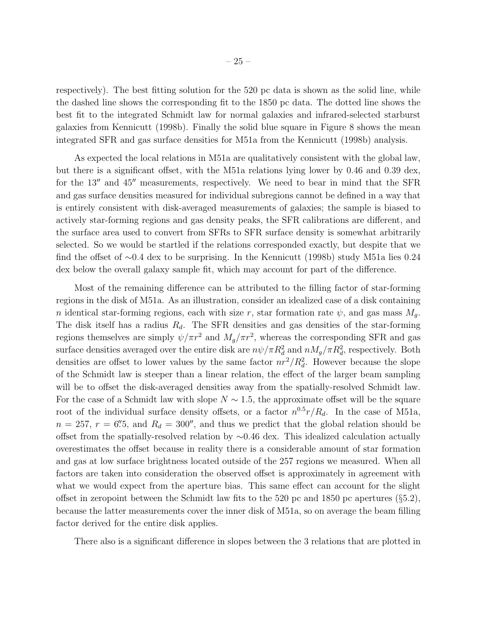respectively). The best fitting solution for the 520 pc data is shown as the solid line, while the dashed line shows the corresponding fit to the 1850 pc data. The dotted line shows the best fit to the integrated Schmidt law for normal galaxies and infrared-selected starburst galaxies from Kennicutt (1998b). Finally the solid blue square in Figure 8 shows the mean integrated SFR and gas surface densities for M51a from the Kennicutt (1998b) analysis.

As expected the local relations in M51a are qualitatively consistent with the global law, but there is a significant offset, with the M51a relations lying lower by 0.46 and 0.39 dex, for the 13<sup>"</sup> and 45" measurements, respectively. We need to bear in mind that the SFR and gas surface densities measured for individual subregions cannot be defined in a way that is entirely consistent with disk-averaged measurements of galaxies; the sample is biased to actively star-forming regions and gas density peaks, the SFR calibrations are different, and the surface area used to convert from SFRs to SFR surface density is somewhat arbitrarily selected. So we would be startled if the relations corresponded exactly, but despite that we find the offset of ∼0.4 dex to be surprising. In the Kennicutt (1998b) study M51a lies 0.24 dex below the overall galaxy sample fit, which may account for part of the difference.

Most of the remaining difference can be attributed to the filling factor of star-forming regions in the disk of M51a. As an illustration, consider an idealized case of a disk containing n identical star-forming regions, each with size r, star formation rate  $\psi$ , and gas mass  $M_q$ . The disk itself has a radius  $R_d$ . The SFR densities and gas densities of the star-forming regions themselves are simply  $\psi/\pi r^2$  and  $M_g/\pi r^2$ , whereas the corresponding SFR and gas surface densities averaged over the entire disk are  $n\psi/\pi R_d^2$  and  $nM_g/\pi R_d^2$ , respectively. Both densities are offset to lower values by the same factor  $nr^2/R_d^2$ . However because the slope of the Schmidt law is steeper than a linear relation, the effect of the larger beam sampling will be to offset the disk-averaged densities away from the spatially-resolved Schmidt law. For the case of a Schmidt law with slope  $N \sim 1.5$ , the approximate offset will be the square root of the individual surface density offsets, or a factor  $n^{0.5}r/R_d$ . In the case of M51a,  $n = 257, r = 6\rlap{.}^{\prime\prime}5$ , and  $R_d = 300\rlap{.}^{\prime\prime}$ , and thus we predict that the global relation should be offset from the spatially-resolved relation by ∼0.46 dex. This idealized calculation actually overestimates the offset because in reality there is a considerable amount of star formation and gas at low surface brightness located outside of the 257 regions we measured. When all factors are taken into consideration the observed offset is approximately in agreement with what we would expect from the aperture bias. This same effect can account for the slight offset in zeropoint between the Schmidt law fits to the 520 pc and 1850 pc apertures  $(\S 5.2)$ , because the latter measurements cover the inner disk of M51a, so on average the beam filling factor derived for the entire disk applies.

There also is a significant difference in slopes between the 3 relations that are plotted in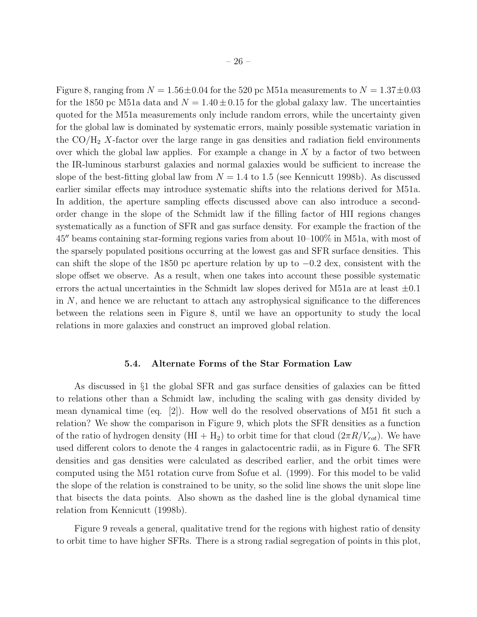Figure 8, ranging from  $N = 1.56 \pm 0.04$  for the 520 pc M51a measurements to  $N = 1.37 \pm 0.03$ for the 1850 pc M51a data and  $N = 1.40 \pm 0.15$  for the global galaxy law. The uncertainties quoted for the M51a measurements only include random errors, while the uncertainty given for the global law is dominated by systematic errors, mainly possible systematic variation in the  $CO/H<sub>2</sub>$  X-factor over the large range in gas densities and radiation field environments over which the global law applies. For example a change in  $X$  by a factor of two between the IR-luminous starburst galaxies and normal galaxies would be sufficient to increase the slope of the best-fitting global law from  $N = 1.4$  to 1.5 (see Kennicutt 1998b). As discussed earlier similar effects may introduce systematic shifts into the relations derived for M51a. In addition, the aperture sampling effects discussed above can also introduce a secondorder change in the slope of the Schmidt law if the filling factor of HII regions changes systematically as a function of SFR and gas surface density. For example the fraction of the 45′′ beams containing star-forming regions varies from about 10–100% in M51a, with most of the sparsely populated positions occurring at the lowest gas and SFR surface densities. This can shift the slope of the 1850 pc aperture relation by up to  $-0.2$  dex, consistent with the slope offset we observe. As a result, when one takes into account these possible systematic errors the actual uncertainties in the Schmidt law slopes derived for M51a are at least  $\pm 0.1$ in  $N$ , and hence we are reluctant to attach any astrophysical significance to the differences between the relations seen in Figure 8, until we have an opportunity to study the local relations in more galaxies and construct an improved global relation.

# 5.4. Alternate Forms of the Star Formation Law

As discussed in §1 the global SFR and gas surface densities of galaxies can be fitted to relations other than a Schmidt law, including the scaling with gas density divided by mean dynamical time (eq. [2]). How well do the resolved observations of M51 fit such a relation? We show the comparison in Figure 9, which plots the SFR densities as a function of the ratio of hydrogen density  $(HI + H_2)$  to orbit time for that cloud  $(2\pi R/V_{rot})$ . We have used different colors to denote the 4 ranges in galactocentric radii, as in Figure 6. The SFR densities and gas densities were calculated as described earlier, and the orbit times were computed using the M51 rotation curve from Sofue et al. (1999). For this model to be valid the slope of the relation is constrained to be unity, so the solid line shows the unit slope line that bisects the data points. Also shown as the dashed line is the global dynamical time relation from Kennicutt (1998b).

Figure 9 reveals a general, qualitative trend for the regions with highest ratio of density to orbit time to have higher SFRs. There is a strong radial segregation of points in this plot,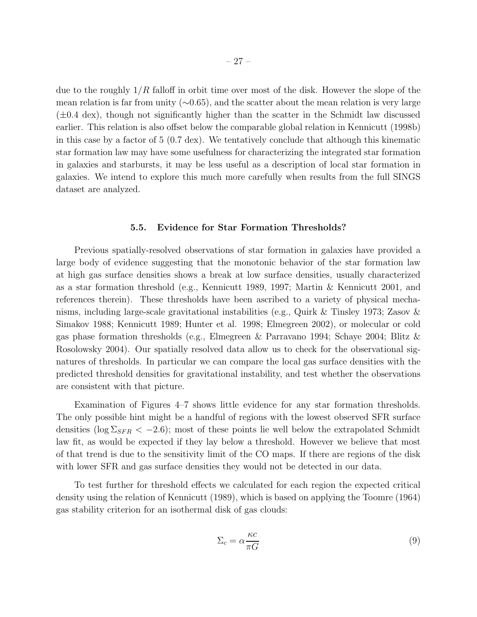due to the roughly  $1/R$  falloff in orbit time over most of the disk. However the slope of the mean relation is far from unity ( $\sim$ 0.65), and the scatter about the mean relation is very large  $(\pm 0.4 \text{ dex})$ , though not significantly higher than the scatter in the Schmidt law discussed earlier. This relation is also offset below the comparable global relation in Kennicutt (1998b) in this case by a factor of 5 (0.7 dex). We tentatively conclude that although this kinematic star formation law may have some usefulness for characterizing the integrated star formation in galaxies and starbursts, it may be less useful as a description of local star formation in galaxies. We intend to explore this much more carefully when results from the full SINGS dataset are analyzed.

#### 5.5. Evidence for Star Formation Thresholds?

Previous spatially-resolved observations of star formation in galaxies have provided a large body of evidence suggesting that the monotonic behavior of the star formation law at high gas surface densities shows a break at low surface densities, usually characterized as a star formation threshold (e.g., Kennicutt 1989, 1997; Martin & Kennicutt 2001, and references therein). These thresholds have been ascribed to a variety of physical mechanisms, including large-scale gravitational instabilities (e.g., Quirk & Tinsley 1973; Zasov & Simakov 1988; Kennicutt 1989; Hunter et al. 1998; Elmegreen 2002), or molecular or cold gas phase formation thresholds (e.g., Elmegreen & Parravano 1994; Schaye 2004; Blitz & Rosolowsky 2004). Our spatially resolved data allow us to check for the observational signatures of thresholds. In particular we can compare the local gas surface densities with the predicted threshold densities for gravitational instability, and test whether the observations are consistent with that picture.

Examination of Figures 4–7 shows little evidence for any star formation thresholds. The only possible hint might be a handful of regions with the lowest observed SFR surface densities (log  $\Sigma_{SFR} < -2.6$ ); most of these points lie well below the extrapolated Schmidt law fit, as would be expected if they lay below a threshold. However we believe that most of that trend is due to the sensitivity limit of the CO maps. If there are regions of the disk with lower SFR and gas surface densities they would not be detected in our data.

To test further for threshold effects we calculated for each region the expected critical density using the relation of Kennicutt (1989), which is based on applying the Toomre (1964) gas stability criterion for an isothermal disk of gas clouds:

$$
\Sigma_c = \alpha \frac{\kappa c}{\pi G} \tag{9}
$$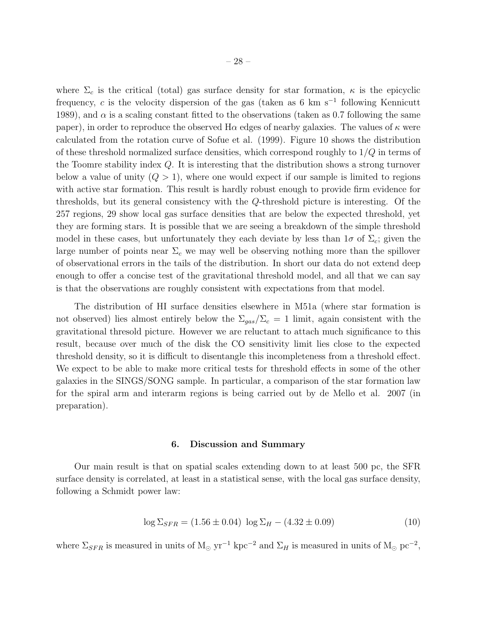where  $\Sigma_c$  is the critical (total) gas surface density for star formation,  $\kappa$  is the epicyclic frequency, c is the velocity dispersion of the gas (taken as 6 km s<sup>-1</sup> following Kennicutt 1989), and  $\alpha$  is a scaling constant fitted to the observations (taken as 0.7 following the same paper), in order to reproduce the observed H $\alpha$  edges of nearby galaxies. The values of  $\kappa$  were calculated from the rotation curve of Sofue et al. (1999). Figure 10 shows the distribution of these threshold normalized surface densities, which correspond roughly to  $1/Q$  in terms of the Toomre stability index  $Q$ . It is interesting that the distribution shows a strong turnover below a value of unity  $(Q > 1)$ , where one would expect if our sample is limited to regions with active star formation. This result is hardly robust enough to provide firm evidence for thresholds, but its general consistency with the Q-threshold picture is interesting. Of the 257 regions, 29 show local gas surface densities that are below the expected threshold, yet they are forming stars. It is possible that we are seeing a breakdown of the simple threshold model in these cases, but unfortunately they each deviate by less than  $1\sigma$  of  $\Sigma_c$ ; given the large number of points near  $\Sigma_c$  we may well be observing nothing more than the spillover of observational errors in the tails of the distribution. In short our data do not extend deep enough to offer a concise test of the gravitational threshold model, and all that we can say is that the observations are roughly consistent with expectations from that model.

The distribution of HI surface densities elsewhere in M51a (where star formation is not observed) lies almost entirely below the  $\Sigma_{gas}/\Sigma_c = 1$  limit, again consistent with the gravitational thresold picture. However we are reluctant to attach much significance to this result, because over much of the disk the CO sensitivity limit lies close to the expected threshold density, so it is difficult to disentangle this incompleteness from a threshold effect. We expect to be able to make more critical tests for threshold effects in some of the other galaxies in the SINGS/SONG sample. In particular, a comparison of the star formation law for the spiral arm and interarm regions is being carried out by de Mello et al. 2007 (in preparation).

#### 6. Discussion and Summary

Our main result is that on spatial scales extending down to at least 500 pc, the SFR surface density is correlated, at least in a statistical sense, with the local gas surface density, following a Schmidt power law:

$$
\log \Sigma_{SFR} = (1.56 \pm 0.04) \log \Sigma_H - (4.32 \pm 0.09) \tag{10}
$$

where  $\Sigma_{SFR}$  is measured in units of M<sub>☉</sub> yr<sup>-1</sup> kpc<sup>-2</sup> and  $\Sigma_H$  is measured in units of M<sub>☉</sub> pc<sup>-2</sup>,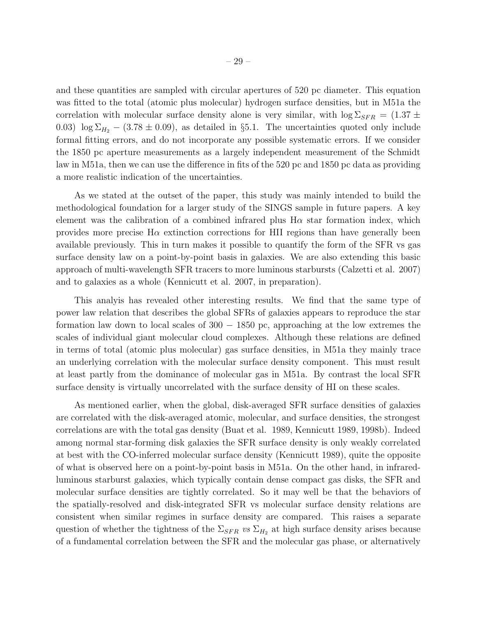and these quantities are sampled with circular apertures of 520 pc diameter. This equation was fitted to the total (atomic plus molecular) hydrogen surface densities, but in M51a the correlation with molecular surface density alone is very similar, with  $\log \Sigma_{SFR} = (1.37 \pm$ 0.03)  $\log \Sigma_{H_2}$  – (3.78 ± 0.09), as detailed in §5.1. The uncertainties quoted only include formal fitting errors, and do not incorporate any possible systematic errors. If we consider the 1850 pc aperture measurements as a largely independent measurement of the Schmidt law in M51a, then we can use the difference in fits of the 520 pc and 1850 pc data as providing a more realistic indication of the uncertainties.

As we stated at the outset of the paper, this study was mainly intended to build the methodological foundation for a larger study of the SINGS sample in future papers. A key element was the calibration of a combined infrared plus  $H\alpha$  star formation index, which provides more precise  $H\alpha$  extinction corrections for HII regions than have generally been available previously. This in turn makes it possible to quantify the form of the SFR vs gas surface density law on a point-by-point basis in galaxies. We are also extending this basic approach of multi-wavelength SFR tracers to more luminous starbursts (Calzetti et al. 2007) and to galaxies as a whole (Kennicutt et al. 2007, in preparation).

This analyis has revealed other interesting results. We find that the same type of power law relation that describes the global SFRs of galaxies appears to reproduce the star formation law down to local scales of 300 − 1850 pc, approaching at the low extremes the scales of individual giant molecular cloud complexes. Although these relations are defined in terms of total (atomic plus molecular) gas surface densities, in M51a they mainly trace an underlying correlation with the molecular surface density component. This must result at least partly from the dominance of molecular gas in M51a. By contrast the local SFR surface density is virtually uncorrelated with the surface density of HI on these scales.

As mentioned earlier, when the global, disk-averaged SFR surface densities of galaxies are correlated with the disk-averaged atomic, molecular, and surface densities, the strongest correlations are with the total gas density (Buat et al. 1989, Kennicutt 1989, 1998b). Indeed among normal star-forming disk galaxies the SFR surface density is only weakly correlated at best with the CO-inferred molecular surface density (Kennicutt 1989), quite the opposite of what is observed here on a point-by-point basis in M51a. On the other hand, in infraredluminous starburst galaxies, which typically contain dense compact gas disks, the SFR and molecular surface densities are tightly correlated. So it may well be that the behaviors of the spatially-resolved and disk-integrated SFR vs molecular surface density relations are consistent when similar regimes in surface density are compared. This raises a separate question of whether the tightness of the  $\Sigma_{SFR}$  vs  $\Sigma_{H_2}$  at high surface density arises because of a fundamental correlation between the SFR and the molecular gas phase, or alternatively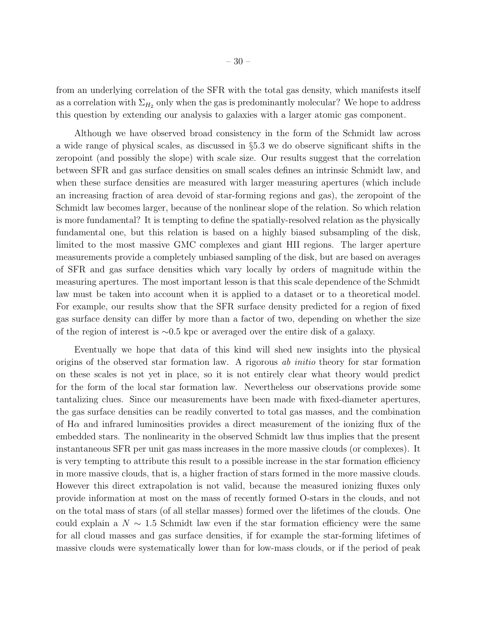from an underlying correlation of the SFR with the total gas density, which manifests itself as a correlation with  $\Sigma_{H_2}$  only when the gas is predominantly molecular? We hope to address this question by extending our analysis to galaxies with a larger atomic gas component.

Although we have observed broad consistency in the form of the Schmidt law across a wide range of physical scales, as discussed in §5.3 we do observe significant shifts in the zeropoint (and possibly the slope) with scale size. Our results suggest that the correlation between SFR and gas surface densities on small scales defines an intrinsic Schmidt law, and when these surface densities are measured with larger measuring apertures (which include an increasing fraction of area devoid of star-forming regions and gas), the zeropoint of the Schmidt law becomes larger, because of the nonlinear slope of the relation. So which relation is more fundamental? It is tempting to define the spatially-resolved relation as the physically fundamental one, but this relation is based on a highly biased subsampling of the disk, limited to the most massive GMC complexes and giant HII regions. The larger aperture measurements provide a completely unbiased sampling of the disk, but are based on averages of SFR and gas surface densities which vary locally by orders of magnitude within the measuring apertures. The most important lesson is that this scale dependence of the Schmidt law must be taken into account when it is applied to a dataset or to a theoretical model. For example, our results show that the SFR surface density predicted for a region of fixed gas surface density can differ by more than a factor of two, depending on whether the size of the region of interest is ∼0.5 kpc or averaged over the entire disk of a galaxy.

Eventually we hope that data of this kind will shed new insights into the physical origins of the observed star formation law. A rigorous ab initio theory for star formation on these scales is not yet in place, so it is not entirely clear what theory would predict for the form of the local star formation law. Nevertheless our observations provide some tantalizing clues. Since our measurements have been made with fixed-diameter apertures, the gas surface densities can be readily converted to total gas masses, and the combination of Hα and infrared luminosities provides a direct measurement of the ionizing flux of the embedded stars. The nonlinearity in the observed Schmidt law thus implies that the present instantaneous SFR per unit gas mass increases in the more massive clouds (or complexes). It is very tempting to attribute this result to a possible increase in the star formation efficiency in more massive clouds, that is, a higher fraction of stars formed in the more massive clouds. However this direct extrapolation is not valid, because the measured ionizing fluxes only provide information at most on the mass of recently formed O-stars in the clouds, and not on the total mass of stars (of all stellar masses) formed over the lifetimes of the clouds. One could explain a  $N \sim 1.5$  Schmidt law even if the star formation efficiency were the same for all cloud masses and gas surface densities, if for example the star-forming lifetimes of massive clouds were systematically lower than for low-mass clouds, or if the period of peak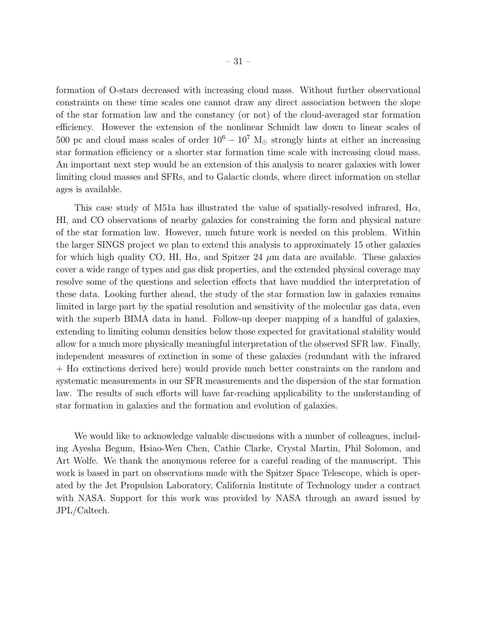formation of O-stars decreased with increasing cloud mass. Without further observational constraints on these time scales one cannot draw any direct association between the slope of the star formation law and the constancy (or not) of the cloud-averaged star formation efficiency. However the extension of the nonlinear Schmidt law down to linear scales of 500 pc and cloud mass scales of order  $10^6 - 10^7$  M<sub>☉</sub> strongly hints at either an increasing star formation efficiency or a shorter star formation time scale with increasing cloud mass. An important next step would be an extension of this analysis to nearer galaxies with lower limiting cloud masses and SFRs, and to Galactic clouds, where direct information on stellar ages is available.

This case study of M51a has illustrated the value of spatially-resolved infrared,  $H\alpha$ , HI, and CO observations of nearby galaxies for constraining the form and physical nature of the star formation law. However, much future work is needed on this problem. Within the larger SINGS project we plan to extend this analysis to approximately 15 other galaxies for which high quality CO, HI, H $\alpha$ , and Spitzer 24  $\mu$ m data are available. These galaxies cover a wide range of types and gas disk properties, and the extended physical coverage may resolve some of the questions and selection effects that have muddied the interpretation of these data. Looking further ahead, the study of the star formation law in galaxies remains limited in large part by the spatial resolution and sensitivity of the molecular gas data, even with the superb BIMA data in hand. Follow-up deeper mapping of a handful of galaxies, extending to limiting column densities below those expected for gravitational stability would allow for a much more physically meaningful interpretation of the observed SFR law. Finally, independent measures of extinction in some of these galaxies (redundant with the infrared  $+$  H $\alpha$  extinctions derived here) would provide much better constraints on the random and systematic measurements in our SFR measurements and the dispersion of the star formation law. The results of such efforts will have far-reaching applicability to the understanding of star formation in galaxies and the formation and evolution of galaxies.

We would like to acknowledge valuable discussions with a number of colleagues, including Ayesha Begum, Hsiao-Wen Chen, Cathie Clarke, Crystal Martin, Phil Solomon, and Art Wolfe. We thank the anonymous referee for a careful reading of the manuscript. This work is based in part on observations made with the Spitzer Space Telescope, which is operated by the Jet Propulsion Laboratory, California Institute of Technology under a contract with NASA. Support for this work was provided by NASA through an award issued by JPL/Caltech.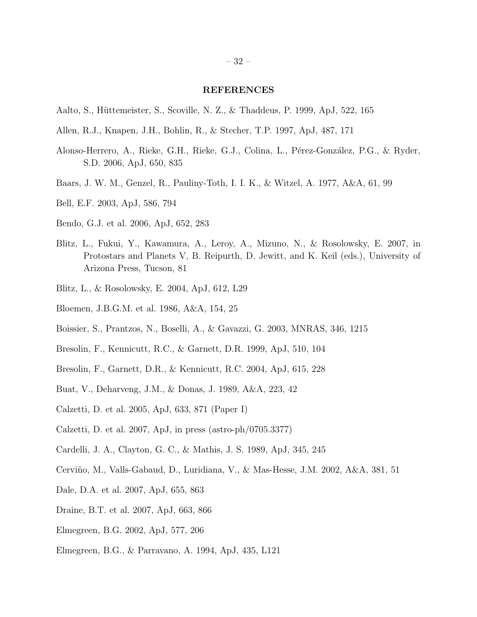#### REFERENCES

- Aalto, S., Hüttemeister, S., Scoville, N. Z., & Thaddeus, P. 1999, ApJ, 522, 165
- Allen, R.J., Knapen, J.H., Bohlin, R., & Stecher, T.P. 1997, ApJ, 487, 171
- Alonso-Herrero, A., Rieke, G.H., Rieke, G.J., Colina, L., Pérez-González, P.G., & Ryder, S.D. 2006, ApJ, 650, 835
- Baars, J. W. M., Genzel, R., Pauliny-Toth, I. I. K., & Witzel, A. 1977, A&A, 61, 99
- Bell, E.F. 2003, ApJ, 586, 794
- Bendo, G.J. et al. 2006, ApJ, 652, 283
- Blitz, L., Fukui, Y., Kawamura, A., Leroy, A., Mizuno, N., & Rosolowsky, E. 2007, in Protostars and Planets V, B. Reipurth, D. Jewitt, and K. Keil (eds.), University of Arizona Press, Tucson, 81
- Blitz, L., & Rosolowsky, E. 2004, ApJ, 612, L29
- Bloemen, J.B.G.M. et al. 1986, A&A, 154, 25
- Boissier, S., Prantzos, N., Boselli, A., & Gavazzi, G. 2003, MNRAS, 346, 1215
- Bresolin, F., Kennicutt, R.C., & Garnett, D.R. 1999, ApJ, 510, 104
- Bresolin, F., Garnett, D.R., & Kennicutt, R.C. 2004, ApJ, 615, 228
- Buat, V., Deharveng, J.M., & Donas, J. 1989, A&A, 223, 42
- Calzetti, D. et al. 2005, ApJ, 633, 871 (Paper I)
- Calzetti, D. et al. 2007, ApJ, in press (astro-ph/0705.3377)
- Cardelli, J. A., Clayton, G. C., & Mathis, J. S. 1989, ApJ, 345, 245
- Cerviño, M., Valls-Gabaud, D., Luridiana, V., & Mas-Hesse, J.M. 2002, A&A, 381, 51
- Dale, D.A. et al. 2007, ApJ, 655, 863
- Draine, B.T. et al. 2007, ApJ, 663, 866
- Elmegreen, B.G. 2002, ApJ, 577, 206
- Elmegreen, B.G., & Parravano, A. 1994, ApJ, 435, L121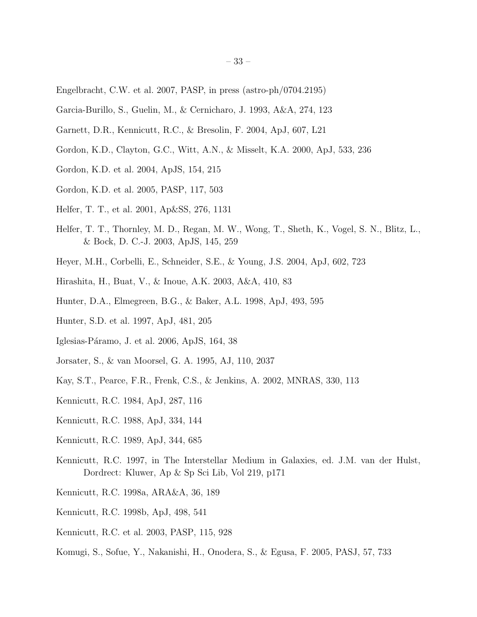- Engelbracht, C.W. et al. 2007, PASP, in press (astro-ph/0704.2195)
- Garcia-Burillo, S., Guelin, M., & Cernicharo, J. 1993, A&A, 274, 123
- Garnett, D.R., Kennicutt, R.C., & Bresolin, F. 2004, ApJ, 607, L21
- Gordon, K.D., Clayton, G.C., Witt, A.N., & Misselt, K.A. 2000, ApJ, 533, 236
- Gordon, K.D. et al. 2004, ApJS, 154, 215
- Gordon, K.D. et al. 2005, PASP, 117, 503
- Helfer, T. T., et al. 2001, Ap&SS, 276, 1131
- Helfer, T. T., Thornley, M. D., Regan, M. W., Wong, T., Sheth, K., Vogel, S. N., Blitz, L., & Bock, D. C.-J. 2003, ApJS, 145, 259
- Heyer, M.H., Corbelli, E., Schneider, S.E., & Young, J.S. 2004, ApJ, 602, 723
- Hirashita, H., Buat, V., & Inoue, A.K. 2003, A&A, 410, 83
- Hunter, D.A., Elmegreen, B.G., & Baker, A.L. 1998, ApJ, 493, 595
- Hunter, S.D. et al. 1997, ApJ, 481, 205
- Iglesias-Páramo, J. et al. 2006, ApJS, 164, 38
- Jorsater, S., & van Moorsel, G. A. 1995, AJ, 110, 2037
- Kay, S.T., Pearce, F.R., Frenk, C.S., & Jenkins, A. 2002, MNRAS, 330, 113
- Kennicutt, R.C. 1984, ApJ, 287, 116
- Kennicutt, R.C. 1988, ApJ, 334, 144
- Kennicutt, R.C. 1989, ApJ, 344, 685
- Kennicutt, R.C. 1997, in The Interstellar Medium in Galaxies, ed. J.M. van der Hulst, Dordrect: Kluwer, Ap & Sp Sci Lib, Vol 219, p171
- Kennicutt, R.C. 1998a, ARA&A, 36, 189
- Kennicutt, R.C. 1998b, ApJ, 498, 541
- Kennicutt, R.C. et al. 2003, PASP, 115, 928
- Komugi, S., Sofue, Y., Nakanishi, H., Onodera, S., & Egusa, F. 2005, PASJ, 57, 733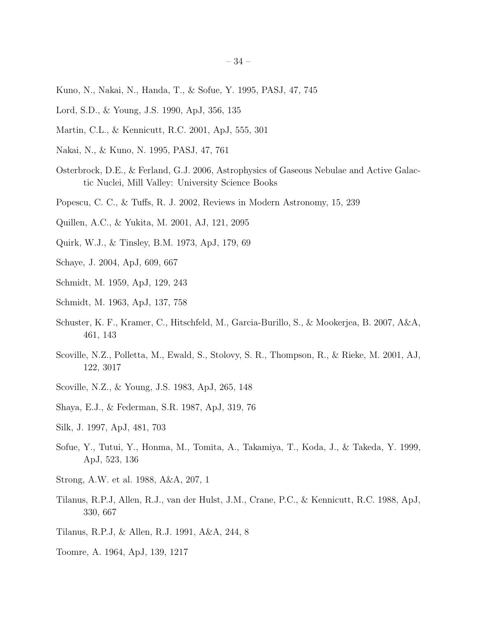- Kuno, N., Nakai, N., Handa, T., & Sofue, Y. 1995, PASJ, 47, 745
- Lord, S.D., & Young, J.S. 1990, ApJ, 356, 135
- Martin, C.L., & Kennicutt, R.C. 2001, ApJ, 555, 301
- Nakai, N., & Kuno, N. 1995, PASJ, 47, 761
- Osterbrock, D.E., & Ferland, G.J. 2006, Astrophysics of Gaseous Nebulae and Active Galactic Nuclei, Mill Valley: University Science Books
- Popescu, C. C., & Tuffs, R. J. 2002, Reviews in Modern Astronomy, 15, 239
- Quillen, A.C., & Yukita, M. 2001, AJ, 121, 2095
- Quirk, W.J., & Tinsley, B.M. 1973, ApJ, 179, 69
- Schaye, J. 2004, ApJ, 609, 667
- Schmidt, M. 1959, ApJ, 129, 243
- Schmidt, M. 1963, ApJ, 137, 758
- Schuster, K. F., Kramer, C., Hitschfeld, M., Garcia-Burillo, S., & Mookerjea, B. 2007, A&A, 461, 143
- Scoville, N.Z., Polletta, M., Ewald, S., Stolovy, S. R., Thompson, R., & Rieke, M. 2001, AJ, 122, 3017
- Scoville, N.Z., & Young, J.S. 1983, ApJ, 265, 148
- Shaya, E.J., & Federman, S.R. 1987, ApJ, 319, 76
- Silk, J. 1997, ApJ, 481, 703
- Sofue, Y., Tutui, Y., Honma, M., Tomita, A., Takamiya, T., Koda, J., & Takeda, Y. 1999, ApJ, 523, 136
- Strong, A.W. et al. 1988, A&A, 207, 1
- Tilanus, R.P.J, Allen, R.J., van der Hulst, J.M., Crane, P.C., & Kennicutt, R.C. 1988, ApJ, 330, 667
- Tilanus, R.P.J, & Allen, R.J. 1991, A&A, 244, 8
- Toomre, A. 1964, ApJ, 139, 1217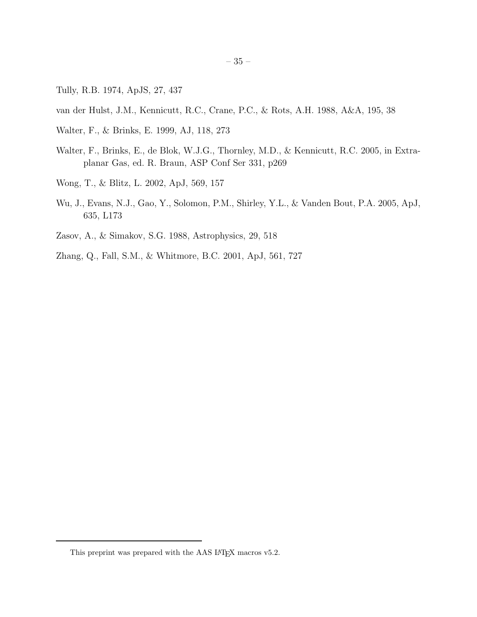- Tully, R.B. 1974, ApJS, 27, 437
- van der Hulst, J.M., Kennicutt, R.C., Crane, P.C., & Rots, A.H. 1988, A&A, 195, 38
- Walter, F., & Brinks, E. 1999, AJ, 118, 273
- Walter, F., Brinks, E., de Blok, W.J.G., Thornley, M.D., & Kennicutt, R.C. 2005, in Extraplanar Gas, ed. R. Braun, ASP Conf Ser 331, p269
- Wong, T., & Blitz, L. 2002, ApJ, 569, 157
- Wu, J., Evans, N.J., Gao, Y., Solomon, P.M., Shirley, Y.L., & Vanden Bout, P.A. 2005, ApJ, 635, L173
- Zasov, A., & Simakov, S.G. 1988, Astrophysics, 29, 518
- Zhang, Q., Fall, S.M., & Whitmore, B.C. 2001, ApJ, 561, 727

<span id="page-36-0"></span>This preprint was prepared with the AAS IATEX macros v5.2.  $\,$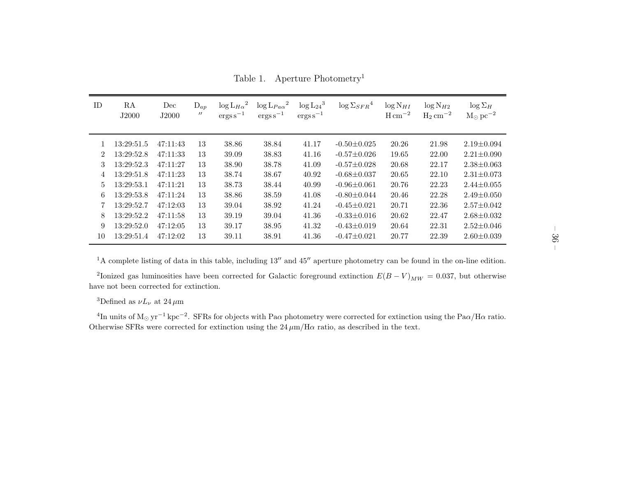| ID             | RA<br>J2000 | Dec<br>J2000 | $D_{ap}$<br>$^{\prime\prime}$ | $\log L_{H\alpha}{}^2$<br>$ergs\,s^{-1}$ | $\log L_{Pa\alpha}{}^2$<br>$ergs\,s^{-1}$ | $\log L_{24}$ <sup>3</sup><br>$ergs s^{-1}$ | $\log \Sigma_{SFR}^4$ | $\log N_{HI}$<br>$\rm H\,cm^{-2}$ | $\log N_{H2}$<br>$\rm H_2\,cm^{-2}$ | $\log \Sigma_H$<br>$\rm M_{\odot}\,pc^{-2}$ |
|----------------|-------------|--------------|-------------------------------|------------------------------------------|-------------------------------------------|---------------------------------------------|-----------------------|-----------------------------------|-------------------------------------|---------------------------------------------|
|                | 13:29:51.5  | 47:11:43     | 13                            | 38.86                                    | 38.84                                     | 41.17                                       | $-0.50 \pm 0.025$     | 20.26                             | 21.98                               | $2.19 \pm 0.094$                            |
| $\overline{2}$ | 13:29:52.8  | 47:11:33     | 13                            | 39.09                                    | 38.83                                     | 41.16                                       | $-0.57 \pm 0.026$     | 19.65                             | 22.00                               | $2.21 \pm 0.090$                            |
| 3              | 13:29:52.3  | 47:11:27     | 13                            | 38.90                                    | 38.78                                     | 41.09                                       | $-0.57 \pm 0.028$     | 20.68                             | 22.17                               | $2.38 \pm 0.063$                            |
| 4              | 13:29:51.8  | 47:11:23     | 13                            | 38.74                                    | 38.67                                     | 40.92                                       | $-0.68 \pm 0.037$     | 20.65                             | 22.10                               | $2.31 \pm 0.073$                            |
| 5              | 13:29:53.1  | 47:11:21     | 13                            | 38.73                                    | 38.44                                     | 40.99                                       | $-0.96 \pm 0.061$     | 20.76                             | 22.23                               | $2.44 \pm 0.055$                            |
| 6              | 13:29:53.8  | 47:11:24     | 13                            | 38.86                                    | 38.59                                     | 41.08                                       | $-0.80 \pm 0.044$     | 20.46                             | 22.28                               | $2.49 + 0.050$                              |
| 7              | 13:29:52.7  | 47:12:03     | 13                            | 39.04                                    | 38.92                                     | 41.24                                       | $-0.45 \pm 0.021$     | 20.71                             | 22.36                               | $2.57 \pm 0.042$                            |
| 8              | 13:29:52.2  | 47:11:58     | 13                            | 39.19                                    | 39.04                                     | 41.36                                       | $-0.33 \pm 0.016$     | 20.62                             | 22.47                               | $2.68 \pm 0.032$                            |
| 9              | 13:29:52.0  | 47:12:05     | 13                            | 39.17                                    | 38.95                                     | 41.32                                       | $-0.43 \pm 0.019$     | 20.64                             | 22.31                               | $2.52 \pm 0.046$                            |
| 10             | 13:29:51.4  | 47:12:02     | 13                            | 39.11                                    | 38.91                                     | 41.36                                       | $-0.47 \pm 0.021$     | 20.77                             | 22.39                               | $2.60 \pm 0.039$                            |

Table 1. Aperture Photometry<sup>1</sup>

<sup>1</sup>A complete listing of data in this table, including 13<sup>''</sup> and 45<sup>''</sup> aperture photometry can be found in the on-line edition.

<sup>2</sup>Ionized gas luminosities have been corrected for Galactic foreground extinction  $E(B-V)_{MW} = 0.037$ , but otherwise have not been corrected for extinction.

<sup>3</sup>Defined as  $\nu L_{\nu}$  at 24  $\mu$ m

<sup>4</sup>In units of M<sub>☉</sub> yr<sup>-1</sup> kpc<sup>-2</sup>. SFRs for objects with Pa $\alpha$  photometry were corrected for extinction using the Pa $\alpha/H\alpha$  ratio. Otherwise SFRs were corrected for extinction using the  $24 \,\mu$ m/H $\alpha$  ratio, as described in the text.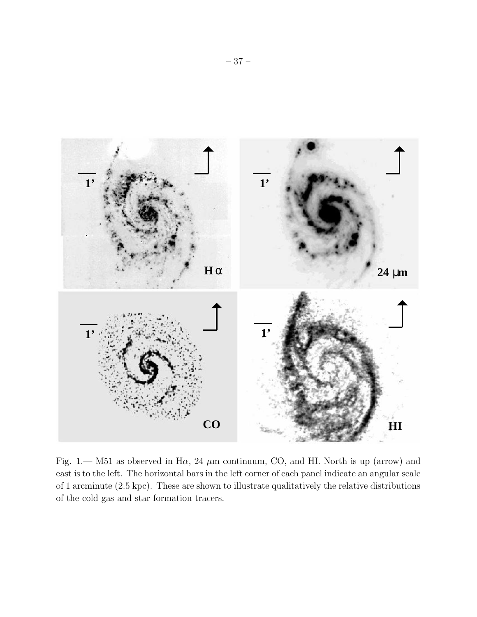

Fig. 1.— M51 as observed in H $\alpha$ , 24  $\mu$ m continuum, CO, and HI. North is up (arrow) and east is to the left. The horizontal bars in the left corner of each panel indicate an angular scale of 1 arcminute (2.5 kpc). These are shown to illustrate qualitatively the relative distributions of the cold gas and star formation tracers.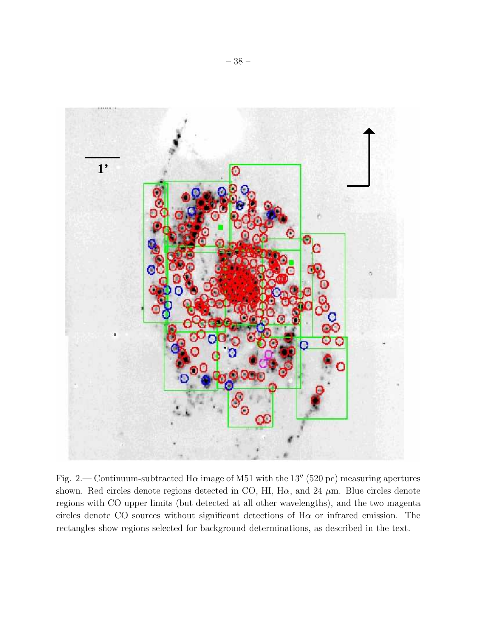

Fig. 2.— Continuum-subtracted H $\alpha$  image of M51 with the 13<sup> $\prime\prime$ </sup> (520 pc) measuring apertures shown. Red circles denote regions detected in CO, HI, H $\alpha$ , and 24  $\mu$ m. Blue circles denote regions with CO upper limits (but detected at all other wavelengths), and the two magenta circles denote CO sources without significant detections of  $H\alpha$  or infrared emission. The rectangles show regions selected for background determinations, as described in the text.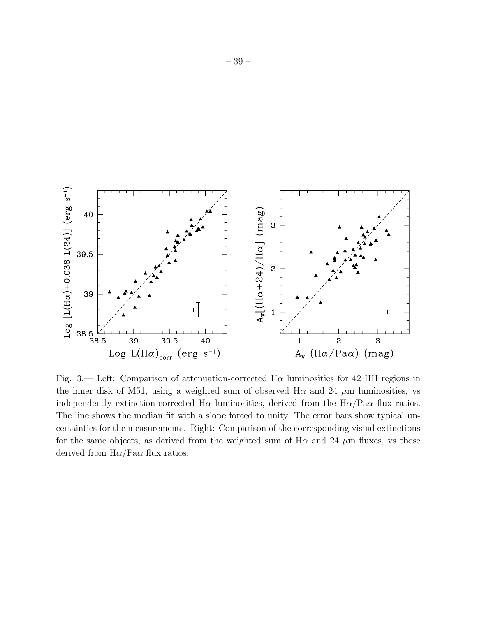

Fig. 3.— Left: Comparison of attenuation-corrected  $H\alpha$  luminosities for 42 HII regions in the inner disk of M51, using a weighted sum of observed H $\alpha$  and 24  $\mu$ m luminosities, vs independently extinction-corrected H $\alpha$  luminosities, derived from the H $\alpha$ /Pa $\alpha$  flux ratios. The line shows the median fit with a slope forced to unity. The error bars show typical uncertainties for the measurements. Right: Comparison of the corresponding visual extinctions for the same objects, as derived from the weighted sum of  $H\alpha$  and 24  $\mu$ m fluxes, vs those derived from  $H\alpha$ /Pa $\alpha$  flux ratios.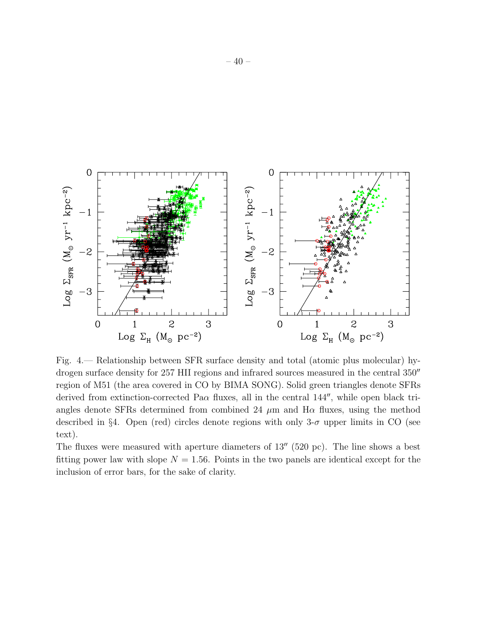

Fig. 4.— Relationship between SFR surface density and total (atomic plus molecular) hydrogen surface density for 257 HII regions and infrared sources measured in the central 350′′ region of M51 (the area covered in CO by BIMA SONG). Solid green triangles denote SFRs derived from extinction-corrected Pa $\alpha$  fluxes, all in the central 144'', while open black triangles denote SFRs determined from combined 24  $\mu$ m and H $\alpha$  fluxes, using the method described in §4. Open (red) circles denote regions with only  $3-\sigma$  upper limits in CO (see text).

The fluxes were measured with aperture diameters of 13<sup>''</sup> (520 pc). The line shows a best fitting power law with slope  $N = 1.56$ . Points in the two panels are identical except for the inclusion of error bars, for the sake of clarity.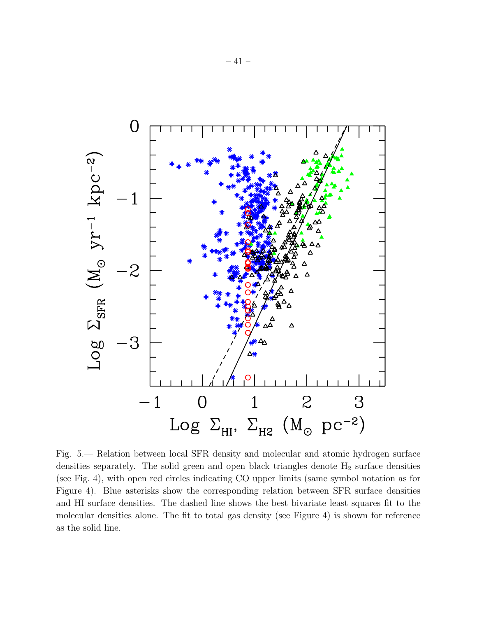

Fig. 5.— Relation between local SFR density and molecular and atomic hydrogen surface densities separately. The solid green and open black triangles denote  $H_2$  surface densities (see Fig. 4), with open red circles indicating CO upper limits (same symbol notation as for Figure 4). Blue asterisks show the corresponding relation between SFR surface densities and HI surface densities. The dashed line shows the best bivariate least squares fit to the molecular densities alone. The fit to total gas density (see Figure 4) is shown for reference as the solid line.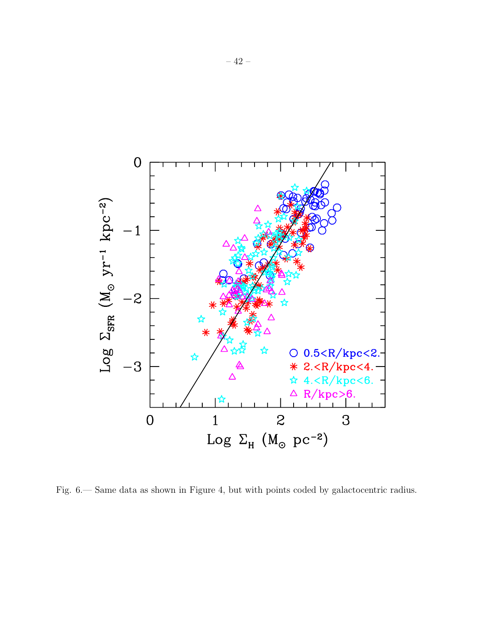

Fig. 6.— Same data as shown in Figure 4, but with points coded by galactocentric radius.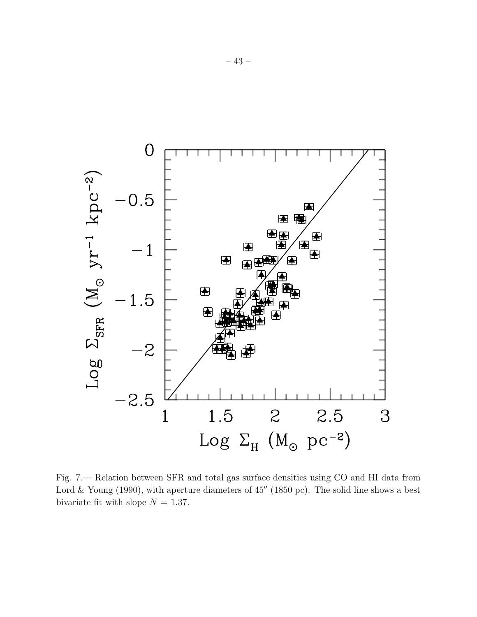

Fig. 7.— Relation between SFR and total gas surface densities using CO and HI data from Lord & Young  $(1990)$ , with aperture diameters of  $45''$   $(1850 \text{ pc})$ . The solid line shows a best bivariate fit with slope  $N = 1.37$ .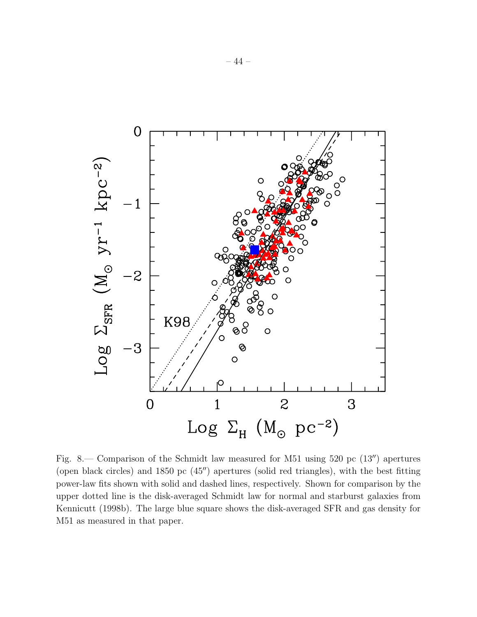

Fig. 8.— Comparison of the Schmidt law measured for M51 using 520 pc (13′′) apertures (open black circles) and 1850 pc (45′′) apertures (solid red triangles), with the best fitting power-law fits shown with solid and dashed lines, respectively. Shown for comparison by the upper dotted line is the disk-averaged Schmidt law for normal and starburst galaxies from Kennicutt (1998b). The large blue square shows the disk-averaged SFR and gas density for M51 as measured in that paper.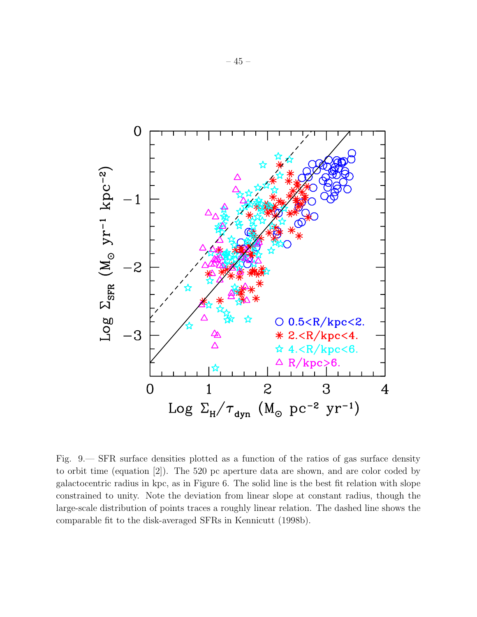

Fig. 9.— SFR surface densities plotted as a function of the ratios of gas surface density to orbit time (equation [2]). The 520 pc aperture data are shown, and are color coded by galactocentric radius in kpc, as in Figure 6. The solid line is the best fit relation with slope constrained to unity. Note the deviation from linear slope at constant radius, though the large-scale distribution of points traces a roughly linear relation. The dashed line shows the comparable fit to the disk-averaged SFRs in Kennicutt (1998b).